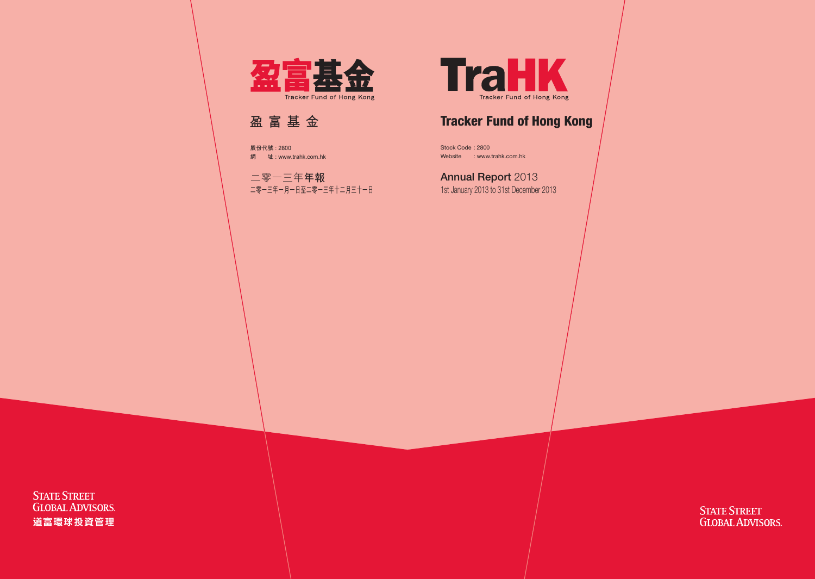

# Tracker Fund of Hong Kong

Stock Code : 2800 Website : www.trahk.com.hk

# Annual Report 2013

1st January 2013 to 31st December 2013

**STATE STREET GLOBAL ADVISORS**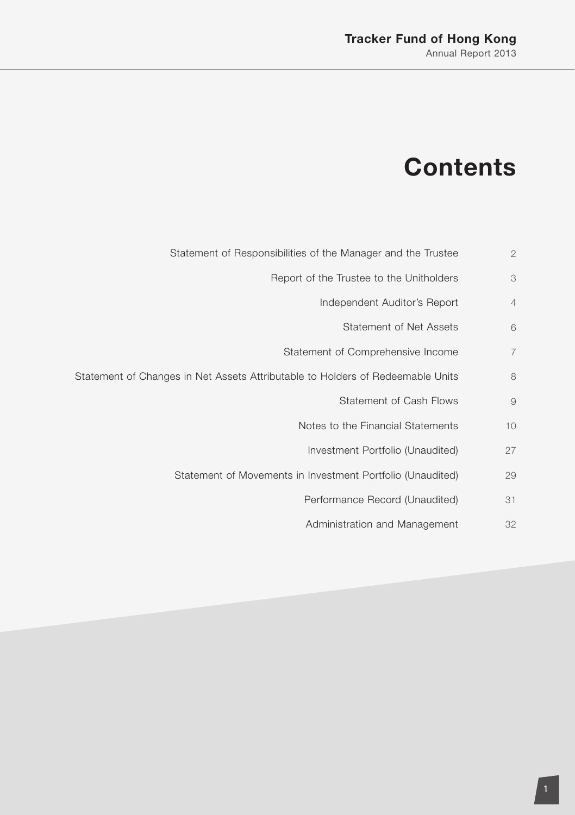# **Contents**

- Statement of Responsibilities of the Manager and the Trustee 2
	- Report of the Trustee to the Unitholders 3
		- Independent Auditor's Report 4
			- Statement of Net Assets 6
		- Statement of Comprehensive Income 7
- Statement of Changes in Net Assets Attributable to Holders of Redeemable Units 8
	- Statement of Cash Flows 9
	- Notes to the Financial Statements 10
		- Investment Portfolio (Unaudited) 27
	- Statement of Movements in Investment Portfolio (Unaudited) 29
		- Performance Record (Unaudited) 31
		- Administration and Management 32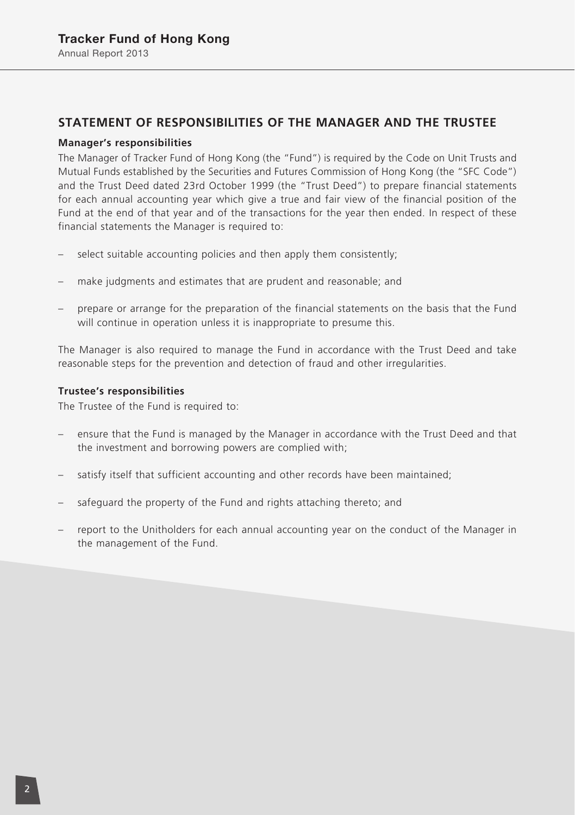### **STATEMENT OF RESPONSIBILITIES OF THE MANAGER AND THE TRUSTEE**

### **Manager's responsibilities**

The Manager of Tracker Fund of Hong Kong (the "Fund") is required by the Code on Unit Trusts and Mutual Funds established by the Securities and Futures Commission of Hong Kong (the "SFC Code") and the Trust Deed dated 23rd October 1999 (the "Trust Deed") to prepare financial statements for each annual accounting year which give a true and fair view of the financial position of the Fund at the end of that year and of the transactions for the year then ended. In respect of these financial statements the Manager is required to:

- select suitable accounting policies and then apply them consistently;
- make judgments and estimates that are prudent and reasonable; and
- prepare or arrange for the preparation of the financial statements on the basis that the Fund will continue in operation unless it is inappropriate to presume this.

The Manager is also required to manage the Fund in accordance with the Trust Deed and take reasonable steps for the prevention and detection of fraud and other irregularities.

#### **Trustee's responsibilities**

The Trustee of the Fund is required to:

- ensure that the Fund is managed by the Manager in accordance with the Trust Deed and that the investment and borrowing powers are complied with;
- satisfy itself that sufficient accounting and other records have been maintained;
- safeguard the property of the Fund and rights attaching thereto; and
- report to the Unitholders for each annual accounting year on the conduct of the Manager in the management of the Fund.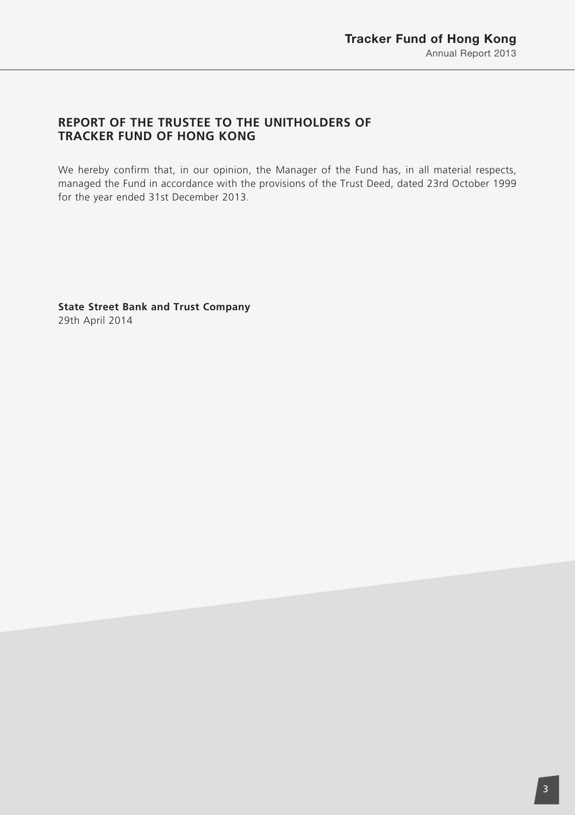# **REPORT OF THE TRUSTEE TO THE UNITHOLDERS OF TRACKER FUND OF HONG KONG**

We hereby confirm that, in our opinion, the Manager of the Fund has, in all material respects, managed the Fund in accordance with the provisions of the Trust Deed, dated 23rd October 1999 for the year ended 31st December 2013.

**State Street Bank and Trust Company** 29th April 2014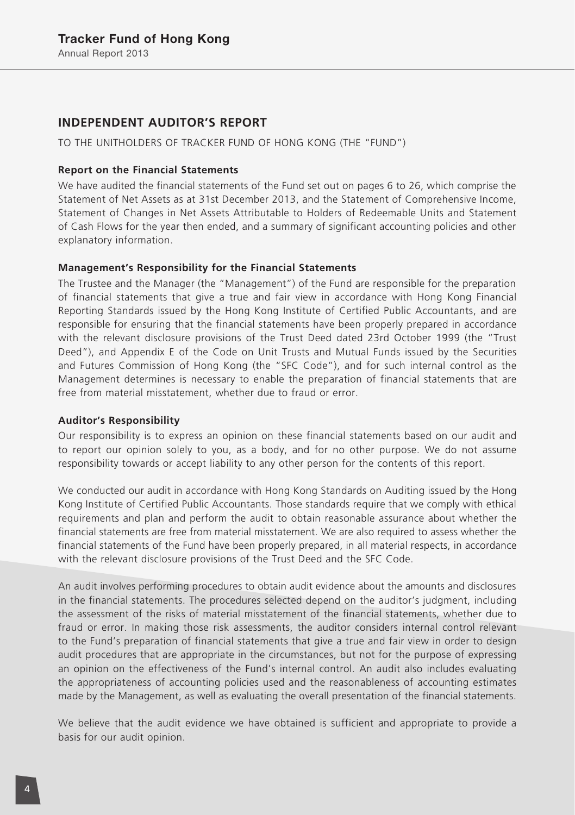### **INDEPENDENT AUDITOR'S REPORT**

TO THE UNITHOLDERS OF TRACKER FUND OF HONG KONG (THE "FUND")

#### **Report on the Financial Statements**

We have audited the financial statements of the Fund set out on pages 6 to 26, which comprise the Statement of Net Assets as at 31st December 2013, and the Statement of Comprehensive Income, Statement of Changes in Net Assets Attributable to Holders of Redeemable Units and Statement of Cash Flows for the year then ended, and a summary of significant accounting policies and other explanatory information.

### **Management's Responsibility for the Financial Statements**

The Trustee and the Manager (the "Management") of the Fund are responsible for the preparation of financial statements that give a true and fair view in accordance with Hong Kong Financial Reporting Standards issued by the Hong Kong Institute of Certified Public Accountants, and are responsible for ensuring that the financial statements have been properly prepared in accordance with the relevant disclosure provisions of the Trust Deed dated 23rd October 1999 (the "Trust Deed"), and Appendix E of the Code on Unit Trusts and Mutual Funds issued by the Securities and Futures Commission of Hong Kong (the "SFC Code"), and for such internal control as the Management determines is necessary to enable the preparation of financial statements that are free from material misstatement, whether due to fraud or error.

#### **Auditor's Responsibility**

Our responsibility is to express an opinion on these financial statements based on our audit and to report our opinion solely to you, as a body, and for no other purpose. We do not assume responsibility towards or accept liability to any other person for the contents of this report.

We conducted our audit in accordance with Hong Kong Standards on Auditing issued by the Hong Kong Institute of Certified Public Accountants. Those standards require that we comply with ethical requirements and plan and perform the audit to obtain reasonable assurance about whether the financial statements are free from material misstatement. We are also required to assess whether the financial statements of the Fund have been properly prepared, in all material respects, in accordance with the relevant disclosure provisions of the Trust Deed and the SFC Code.

An audit involves performing procedures to obtain audit evidence about the amounts and disclosures in the financial statements. The procedures selected depend on the auditor's judgment, including the assessment of the risks of material misstatement of the financial statements, whether due to fraud or error. In making those risk assessments, the auditor considers internal control relevant to the Fund's preparation of financial statements that give a true and fair view in order to design audit procedures that are appropriate in the circumstances, but not for the purpose of expressing an opinion on the effectiveness of the Fund's internal control. An audit also includes evaluating the appropriateness of accounting policies used and the reasonableness of accounting estimates made by the Management, as well as evaluating the overall presentation of the financial statements.

We believe that the audit evidence we have obtained is sufficient and appropriate to provide a basis for our audit opinion.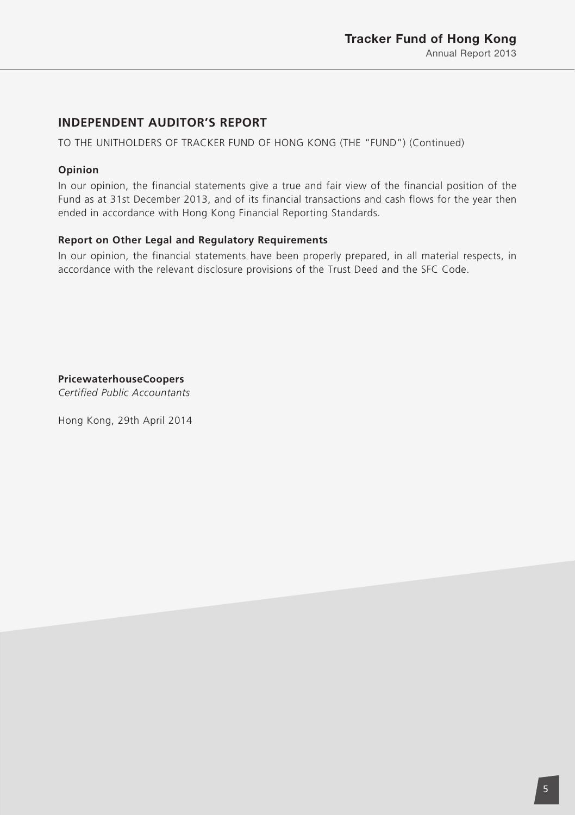# **INDEPENDENT AUDITOR'S REPORT**

TO THE UNITHOLDERS OF TRACKER FUND OF HONG KONG (THE "FUND") (Continued)

### **Opinion**

In our opinion, the financial statements give a true and fair view of the financial position of the Fund as at 31st December 2013, and of its financial transactions and cash flows for the year then ended in accordance with Hong Kong Financial Reporting Standards.

### **Report on Other Legal and Regulatory Requirements**

In our opinion, the financial statements have been properly prepared, in all material respects, in accordance with the relevant disclosure provisions of the Trust Deed and the SFC Code.

**PricewaterhouseCoopers** *Certified Public Accountants*

Hong Kong, 29th April 2014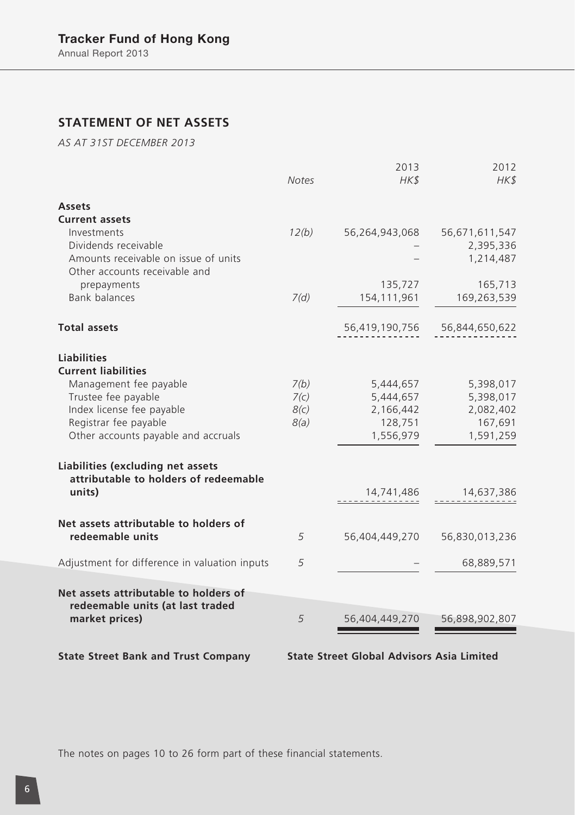# **STATEMENT OF NET ASSETS**

*AS AT 31ST DECEMBER 2013*

|                                                                            | Notes | 2013<br>HK\$   | 2012<br>HK\$   |
|----------------------------------------------------------------------------|-------|----------------|----------------|
| <b>Assets</b>                                                              |       |                |                |
| <b>Current assets</b>                                                      |       |                |                |
| Investments                                                                | 12(b) | 56,264,943,068 | 56,671,611,547 |
| Dividends receivable                                                       |       |                | 2,395,336      |
| Amounts receivable on issue of units                                       |       |                | 1,214,487      |
| Other accounts receivable and                                              |       |                |                |
| prepayments                                                                |       | 135,727        | 165,713        |
| <b>Bank balances</b>                                                       | 7(d)  | 154, 111, 961  | 169,263,539    |
| <b>Total assets</b>                                                        |       | 56,419,190,756 | 56,844,650,622 |
| <b>Liabilities</b>                                                         |       |                |                |
| <b>Current liabilities</b>                                                 |       |                |                |
| Management fee payable                                                     | 7(b)  | 5,444,657      | 5,398,017      |
| Trustee fee payable                                                        | 7(c)  | 5,444,657      | 5,398,017      |
| Index license fee payable                                                  | 8(c)  | 2,166,442      | 2,082,402      |
| Registrar fee payable                                                      | 8(a)  | 128,751        | 167,691        |
| Other accounts payable and accruals                                        |       | 1,556,979      | 1,591,259      |
| Liabilities (excluding net assets<br>attributable to holders of redeemable |       |                |                |
| units)                                                                     |       | 14,741,486     | 14,637,386     |
| Net assets attributable to holders of                                      |       |                |                |
| redeemable units                                                           | 5     | 56,404,449,270 | 56,830,013,236 |
| Adjustment for difference in valuation inputs                              | 5     |                | 68,889,571     |
| Net assets attributable to holders of                                      |       |                |                |
| redeemable units (at last traded                                           |       |                |                |
| market prices)                                                             | 5     | 56,404,449,270 | 56,898,902,807 |
|                                                                            |       |                |                |

**State Street Bank and Trust Company State Street Global Advisors Asia Limited**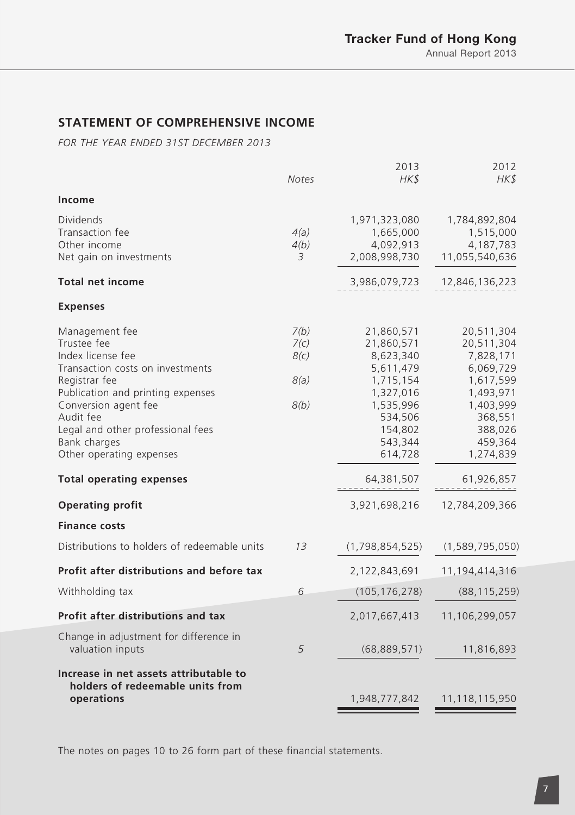# **STATEMENT OF COMPREHENSIVE INCOME**

*FOR THE YEAR ENDED 31ST DECEMBER 2013*

|                                                                                                                                                                                                                                                                                                                                                          | <b>Notes</b>                         | 2013<br>HK\$                                                                                                                                                         | 2012<br>HK\$                                                                                                                                                            |
|----------------------------------------------------------------------------------------------------------------------------------------------------------------------------------------------------------------------------------------------------------------------------------------------------------------------------------------------------------|--------------------------------------|----------------------------------------------------------------------------------------------------------------------------------------------------------------------|-------------------------------------------------------------------------------------------------------------------------------------------------------------------------|
| Income                                                                                                                                                                                                                                                                                                                                                   |                                      |                                                                                                                                                                      |                                                                                                                                                                         |
| <b>Dividends</b><br>Transaction fee<br>Other income<br>Net gain on investments<br><b>Total net income</b><br><b>Expenses</b>                                                                                                                                                                                                                             | 4(a)<br>4(b)<br>3                    | 1,971,323,080<br>1,665,000<br>4,092,913<br>2,008,998,730<br>3,986,079,723                                                                                            | 1,784,892,804<br>1,515,000<br>4,187,783<br>11,055,540,636<br>12,846,136,223                                                                                             |
| Management fee<br>Trustee fee<br>Index license fee<br>Transaction costs on investments<br>Registrar fee<br>Publication and printing expenses<br>Conversion agent fee<br>Audit fee<br>Legal and other professional fees<br>Bank charges<br>Other operating expenses<br><b>Total operating expenses</b><br><b>Operating profit</b><br><b>Finance costs</b> | 7(b)<br>7(c)<br>8(c)<br>8(a)<br>8(b) | 21,860,571<br>21,860,571<br>8,623,340<br>5,611,479<br>1,715,154<br>1,327,016<br>1,535,996<br>534,506<br>154,802<br>543,344<br>614,728<br>64,381,507<br>3,921,698,216 | 20,511,304<br>20,511,304<br>7,828,171<br>6,069,729<br>1,617,599<br>1,493,971<br>1,403,999<br>368,551<br>388,026<br>459,364<br>1,274,839<br>61,926,857<br>12,784,209,366 |
| Distributions to holders of redeemable units                                                                                                                                                                                                                                                                                                             | 13                                   | (1,798,854,525)                                                                                                                                                      | (1, 589, 795, 050)                                                                                                                                                      |
| Profit after distributions and before tax                                                                                                                                                                                                                                                                                                                |                                      | 2,122,843,691                                                                                                                                                        | 11,194,414,316                                                                                                                                                          |
| Withholding tax                                                                                                                                                                                                                                                                                                                                          | 6                                    | (105, 176, 278)                                                                                                                                                      | (88, 115, 259)                                                                                                                                                          |
| Profit after distributions and tax                                                                                                                                                                                                                                                                                                                       |                                      | 2,017,667,413                                                                                                                                                        | 11,106,299,057                                                                                                                                                          |
| Change in adjustment for difference in<br>valuation inputs                                                                                                                                                                                                                                                                                               | 5                                    | (68,889,571)                                                                                                                                                         | 11,816,893                                                                                                                                                              |
| Increase in net assets attributable to<br>holders of redeemable units from<br>operations                                                                                                                                                                                                                                                                 |                                      | 1,948,777,842                                                                                                                                                        | 11,118,115,950                                                                                                                                                          |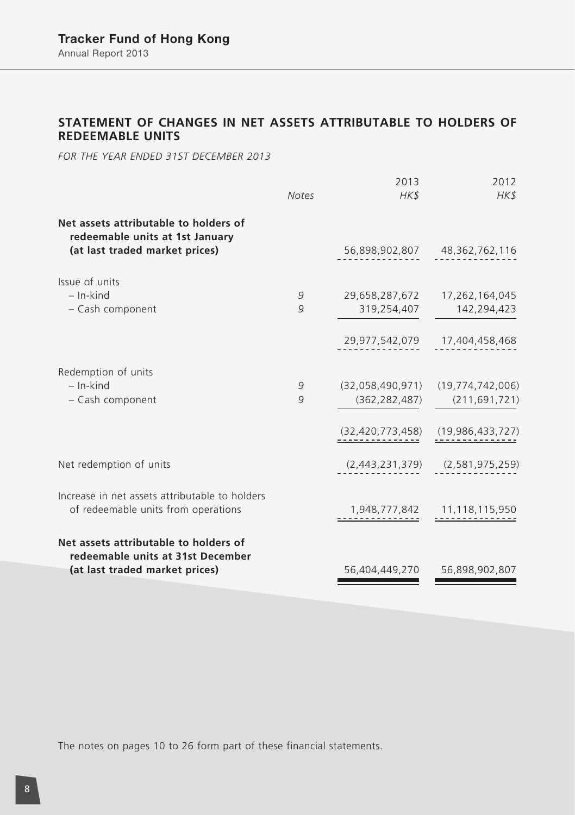# **STATEMENT OF CHANGES IN NET ASSETS ATTRIBUTABLE TO HOLDERS OF REDEEMABLE UNITS**

*FOR THE YEAR ENDED 31ST DECEMBER 2013*

|                                                                                       | <b>Notes</b> | 2013<br>HK\$        | 2012<br>HK\$                          |
|---------------------------------------------------------------------------------------|--------------|---------------------|---------------------------------------|
| Net assets attributable to holders of<br>redeemable units at 1st January              |              |                     |                                       |
| (at last traded market prices)                                                        |              |                     | 56,898,902,807 48,362,762,116         |
| Issue of units                                                                        |              |                     |                                       |
| $-$ In-kind                                                                           | 9            |                     | 29,658,287,672 17,262,164,045         |
| - Cash component                                                                      | 9            | 319,254,407         | 142,294,423                           |
|                                                                                       |              |                     | 29,977,542,079 17,404,458,468         |
| Redemption of units                                                                   |              |                     |                                       |
| $-$ In-kind                                                                           | 9            |                     | $(32,058,490,971)$ $(19,774,742,006)$ |
| - Cash component                                                                      | 9            | (362, 282, 487)     | (211, 691, 721)                       |
|                                                                                       |              | (32, 420, 773, 458) | (19,986,433,727)                      |
| Net redemption of units                                                               |              |                     | $(2,443,231,379)$ $(2,581,975,259)$   |
| Increase in net assets attributable to holders<br>of redeemable units from operations |              |                     | 1,948,777,842 11,118,115,950          |
| Net assets attributable to holders of<br>redeemable units at 31st December            |              |                     |                                       |
| (at last traded market prices)                                                        |              | 56,404,449,270      | 56,898,902,807                        |
|                                                                                       |              |                     |                                       |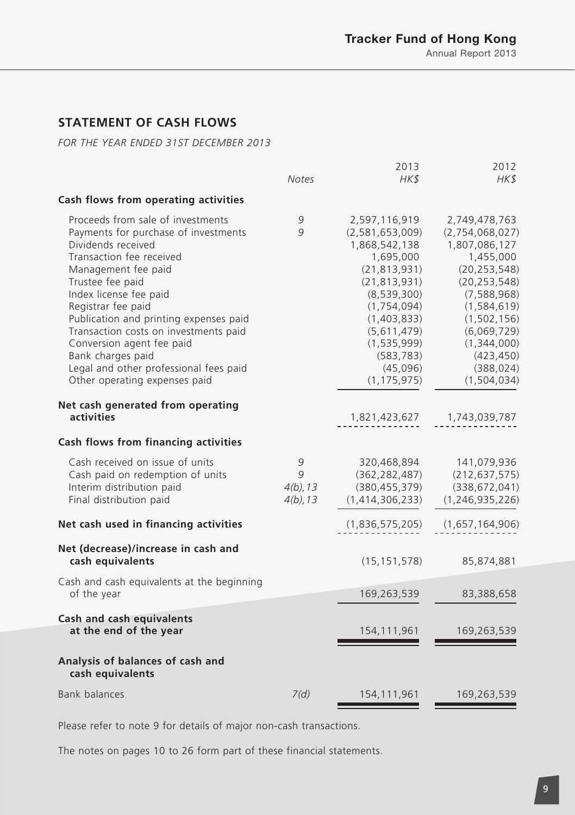# **STATEMENT OF CASH FLOWS**

*FOR THE YEAR ENDED 31ST DECEMBER 2013*

|                                                                                                                                                                                                                                                                                                                                                                                                                                        | <b>Notes</b>                         | 2013<br>HK\$                                                                                                                                                                                                                 | 2012<br>HK\$                                                                                                                                                                                                                     |
|----------------------------------------------------------------------------------------------------------------------------------------------------------------------------------------------------------------------------------------------------------------------------------------------------------------------------------------------------------------------------------------------------------------------------------------|--------------------------------------|------------------------------------------------------------------------------------------------------------------------------------------------------------------------------------------------------------------------------|----------------------------------------------------------------------------------------------------------------------------------------------------------------------------------------------------------------------------------|
| Cash flows from operating activities                                                                                                                                                                                                                                                                                                                                                                                                   |                                      |                                                                                                                                                                                                                              |                                                                                                                                                                                                                                  |
| Proceeds from sale of investments<br>Payments for purchase of investments<br>Dividends received<br>Transaction fee received<br>Management fee paid<br>Trustee fee paid<br>Index license fee paid<br>Registrar fee paid<br>Publication and printing expenses paid<br>Transaction costs on investments paid<br>Conversion agent fee paid<br>Bank charges paid<br>Legal and other professional fees paid<br>Other operating expenses paid | 9<br>9                               | 2,597,116,919<br>(2,581,653,009)<br>1,868,542,138<br>1,695,000<br>(21, 813, 931)<br>(21, 813, 931)<br>(8,539,300)<br>(1, 754, 094)<br>(1,403,833)<br>(5,611,479)<br>(1, 535, 999)<br>(583, 783)<br>(45,096)<br>(1, 175, 975) | 2,749,478,763<br>(2,754,068,027)<br>1,807,086,127<br>1,455,000<br>(20, 253, 548)<br>(20, 253, 548)<br>(7, 588, 968)<br>(1, 584, 619)<br>(1, 502, 156)<br>(6,069,729)<br>(1,344,000)<br>(423, 450)<br>(388, 024)<br>(1, 504, 034) |
| Net cash generated from operating<br>activities                                                                                                                                                                                                                                                                                                                                                                                        |                                      | 1,821,423,627                                                                                                                                                                                                                | 1,743,039,787                                                                                                                                                                                                                    |
| Cash flows from financing activities                                                                                                                                                                                                                                                                                                                                                                                                   |                                      |                                                                                                                                                                                                                              |                                                                                                                                                                                                                                  |
| Cash received on issue of units<br>Cash paid on redemption of units<br>Interim distribution paid<br>Final distribution paid                                                                                                                                                                                                                                                                                                            | 9<br>9<br>$4(b)$ , 13<br>$4(b)$ , 13 | 320,468,894<br>(362, 282, 487)<br>(380, 455, 379)<br>(1,414,306,233)                                                                                                                                                         | 141,079,936<br>(212, 637, 575)<br>(338, 672, 041)<br>(1, 246, 935, 226)                                                                                                                                                          |
| Net cash used in financing activities                                                                                                                                                                                                                                                                                                                                                                                                  |                                      | (1,836,575,205)                                                                                                                                                                                                              | (1,657,164,906)                                                                                                                                                                                                                  |
| Net (decrease)/increase in cash and<br>cash equivalents                                                                                                                                                                                                                                                                                                                                                                                |                                      | (15, 151, 578)                                                                                                                                                                                                               | 85,874,881                                                                                                                                                                                                                       |
| Cash and cash equivalents at the beginning<br>of the year                                                                                                                                                                                                                                                                                                                                                                              |                                      | 169,263,539                                                                                                                                                                                                                  | 83,388,658                                                                                                                                                                                                                       |
| Cash and cash equivalents<br>at the end of the year                                                                                                                                                                                                                                                                                                                                                                                    |                                      | 154, 111, 961                                                                                                                                                                                                                | 169,263,539                                                                                                                                                                                                                      |
| Analysis of balances of cash and<br>cash equivalents                                                                                                                                                                                                                                                                                                                                                                                   |                                      |                                                                                                                                                                                                                              |                                                                                                                                                                                                                                  |
| Bank balances                                                                                                                                                                                                                                                                                                                                                                                                                          | 7(d)                                 | 154, 111, 961                                                                                                                                                                                                                | 169,263,539                                                                                                                                                                                                                      |

Please refer to note 9 for details of major non-cash transactions.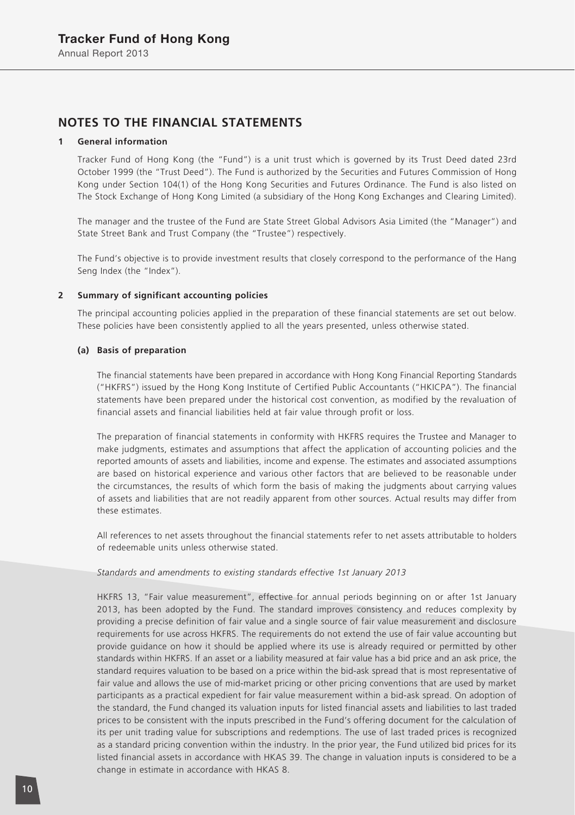### **NOTES TO THE FINANCIAL STATEMENTS**

#### **1 General information**

Tracker Fund of Hong Kong (the "Fund") is a unit trust which is governed by its Trust Deed dated 23rd October 1999 (the "Trust Deed"). The Fund is authorized by the Securities and Futures Commission of Hong Kong under Section 104(1) of the Hong Kong Securities and Futures Ordinance. The Fund is also listed on The Stock Exchange of Hong Kong Limited (a subsidiary of the Hong Kong Exchanges and Clearing Limited).

The manager and the trustee of the Fund are State Street Global Advisors Asia Limited (the "Manager") and State Street Bank and Trust Company (the "Trustee") respectively.

The Fund's objective is to provide investment results that closely correspond to the performance of the Hang Seng Index (the "Index").

#### **2 Summary of significant accounting policies**

The principal accounting policies applied in the preparation of these financial statements are set out below. These policies have been consistently applied to all the years presented, unless otherwise stated.

#### **(a) Basis of preparation**

The financial statements have been prepared in accordance with Hong Kong Financial Reporting Standards ("HKFRS") issued by the Hong Kong Institute of Certified Public Accountants ("HKICPA"). The financial statements have been prepared under the historical cost convention, as modified by the revaluation of financial assets and financial liabilities held at fair value through profit or loss.

The preparation of financial statements in conformity with HKFRS requires the Trustee and Manager to make judgments, estimates and assumptions that affect the application of accounting policies and the reported amounts of assets and liabilities, income and expense. The estimates and associated assumptions are based on historical experience and various other factors that are believed to be reasonable under the circumstances, the results of which form the basis of making the judgments about carrying values of assets and liabilities that are not readily apparent from other sources. Actual results may differ from these estimates.

All references to net assets throughout the financial statements refer to net assets attributable to holders of redeemable units unless otherwise stated.

#### *Standards and amendments to existing standards effective 1st January 2013*

HKFRS 13, "Fair value measurement", effective for annual periods beginning on or after 1st January 2013, has been adopted by the Fund. The standard improves consistency and reduces complexity by providing a precise definition of fair value and a single source of fair value measurement and disclosure requirements for use across HKFRS. The requirements do not extend the use of fair value accounting but provide guidance on how it should be applied where its use is already required or permitted by other standards within HKFRS. If an asset or a liability measured at fair value has a bid price and an ask price, the standard requires valuation to be based on a price within the bid-ask spread that is most representative of fair value and allows the use of mid-market pricing or other pricing conventions that are used by market participants as a practical expedient for fair value measurement within a bid-ask spread. On adoption of the standard, the Fund changed its valuation inputs for listed financial assets and liabilities to last traded prices to be consistent with the inputs prescribed in the Fund's offering document for the calculation of its per unit trading value for subscriptions and redemptions. The use of last traded prices is recognized as a standard pricing convention within the industry. In the prior year, the Fund utilized bid prices for its listed financial assets in accordance with HKAS 39. The change in valuation inputs is considered to be a change in estimate in accordance with HKAS 8.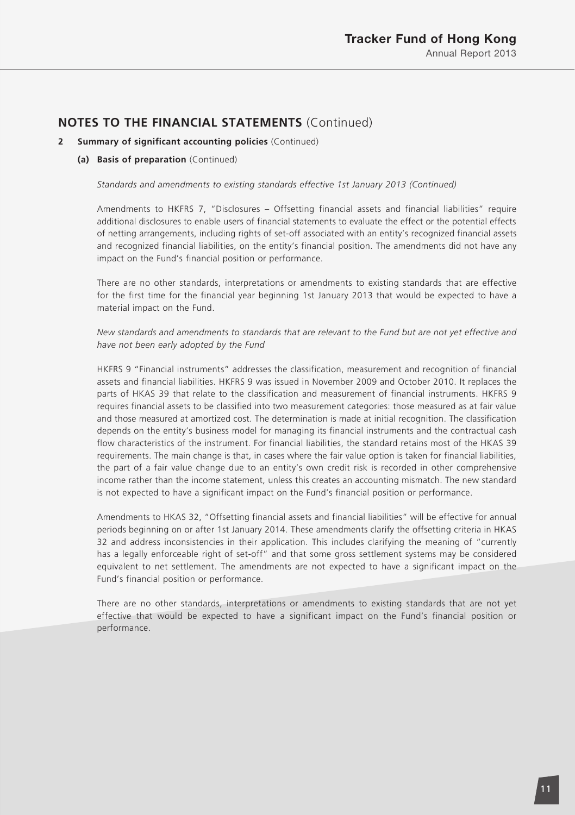#### **2 Summary of significant accounting policies** (Continued)

#### **(a) Basis of preparation** (Continued)

*Standards and amendments to existing standards effective 1st January 2013 (Continued)*

Amendments to HKFRS 7, "Disclosures – Offsetting financial assets and financial liabilities" require additional disclosures to enable users of financial statements to evaluate the effect or the potential effects of netting arrangements, including rights of set-off associated with an entity's recognized financial assets and recognized financial liabilities, on the entity's financial position. The amendments did not have any impact on the Fund's financial position or performance.

There are no other standards, interpretations or amendments to existing standards that are effective for the first time for the financial year beginning 1st January 2013 that would be expected to have a material impact on the Fund.

*New standards and amendments to standards that are relevant to the Fund but are not yet effective and have not been early adopted by the Fund*

HKFRS 9 "Financial instruments" addresses the classification, measurement and recognition of financial assets and financial liabilities. HKFRS 9 was issued in November 2009 and October 2010. It replaces the parts of HKAS 39 that relate to the classification and measurement of financial instruments. HKFRS 9 requires financial assets to be classified into two measurement categories: those measured as at fair value and those measured at amortized cost. The determination is made at initial recognition. The classification depends on the entity's business model for managing its financial instruments and the contractual cash flow characteristics of the instrument. For financial liabilities, the standard retains most of the HKAS 39 requirements. The main change is that, in cases where the fair value option is taken for financial liabilities, the part of a fair value change due to an entity's own credit risk is recorded in other comprehensive income rather than the income statement, unless this creates an accounting mismatch. The new standard is not expected to have a significant impact on the Fund's financial position or performance.

Amendments to HKAS 32, "Offsetting financial assets and financial liabilities" will be effective for annual periods beginning on or after 1st January 2014. These amendments clarify the offsetting criteria in HKAS 32 and address inconsistencies in their application. This includes clarifying the meaning of "currently has a legally enforceable right of set-off" and that some gross settlement systems may be considered equivalent to net settlement. The amendments are not expected to have a significant impact on the Fund's financial position or performance.

There are no other standards, interpretations or amendments to existing standards that are not yet effective that would be expected to have a significant impact on the Fund's financial position or performance.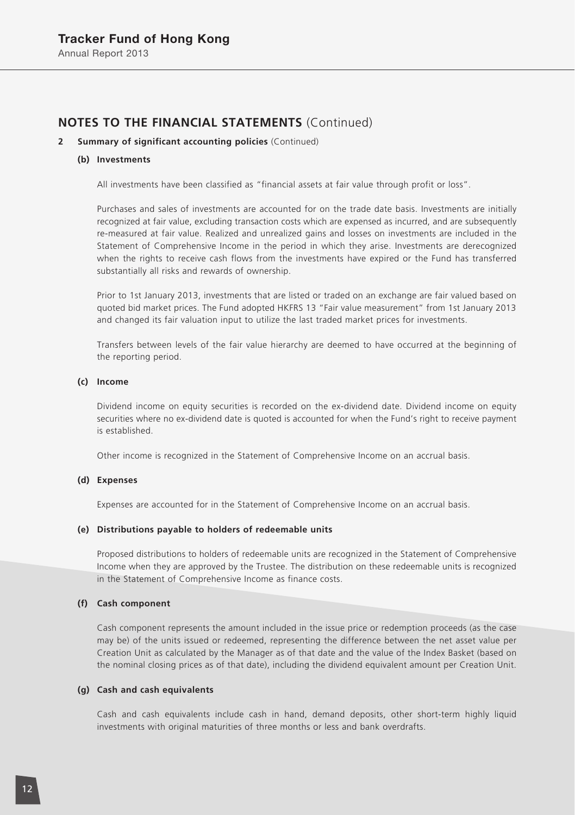#### **2 Summary of significant accounting policies** (Continued)

#### **(b) Investments**

All investments have been classified as "financial assets at fair value through profit or loss".

Purchases and sales of investments are accounted for on the trade date basis. Investments are initially recognized at fair value, excluding transaction costs which are expensed as incurred, and are subsequently re-measured at fair value. Realized and unrealized gains and losses on investments are included in the Statement of Comprehensive Income in the period in which they arise. Investments are derecognized when the rights to receive cash flows from the investments have expired or the Fund has transferred substantially all risks and rewards of ownership.

Prior to 1st January 2013, investments that are listed or traded on an exchange are fair valued based on quoted bid market prices. The Fund adopted HKFRS 13 "Fair value measurement" from 1st January 2013 and changed its fair valuation input to utilize the last traded market prices for investments.

Transfers between levels of the fair value hierarchy are deemed to have occurred at the beginning of the reporting period.

#### **(c) Income**

Dividend income on equity securities is recorded on the ex-dividend date. Dividend income on equity securities where no ex-dividend date is quoted is accounted for when the Fund's right to receive payment is established.

Other income is recognized in the Statement of Comprehensive Income on an accrual basis.

#### **(d) Expenses**

Expenses are accounted for in the Statement of Comprehensive Income on an accrual basis.

#### **(e) Distributions payable to holders of redeemable units**

Proposed distributions to holders of redeemable units are recognized in the Statement of Comprehensive Income when they are approved by the Trustee. The distribution on these redeemable units is recognized in the Statement of Comprehensive Income as finance costs.

#### **(f) Cash component**

Cash component represents the amount included in the issue price or redemption proceeds (as the case may be) of the units issued or redeemed, representing the difference between the net asset value per Creation Unit as calculated by the Manager as of that date and the value of the Index Basket (based on the nominal closing prices as of that date), including the dividend equivalent amount per Creation Unit.

#### **(g) Cash and cash equivalents**

Cash and cash equivalents include cash in hand, demand deposits, other short-term highly liquid investments with original maturities of three months or less and bank overdrafts.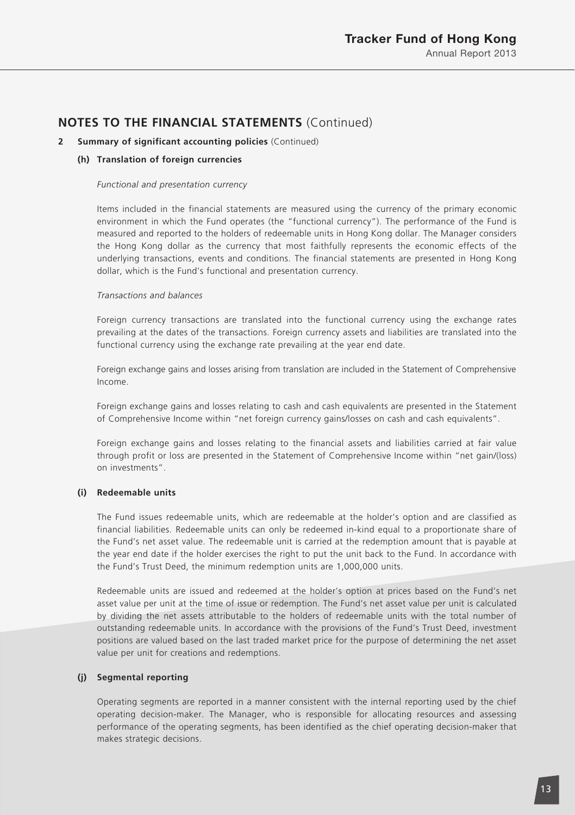#### **2 Summary of significant accounting policies** (Continued)

#### **(h) Translation of foreign currencies**

#### *Functional and presentation currency*

Items included in the financial statements are measured using the currency of the primary economic environment in which the Fund operates (the "functional currency"). The performance of the Fund is measured and reported to the holders of redeemable units in Hong Kong dollar. The Manager considers the Hong Kong dollar as the currency that most faithfully represents the economic effects of the underlying transactions, events and conditions. The financial statements are presented in Hong Kong dollar, which is the Fund's functional and presentation currency.

#### *Transactions and balances*

Foreign currency transactions are translated into the functional currency using the exchange rates prevailing at the dates of the transactions. Foreign currency assets and liabilities are translated into the functional currency using the exchange rate prevailing at the year end date.

Foreign exchange gains and losses arising from translation are included in the Statement of Comprehensive Income.

Foreign exchange gains and losses relating to cash and cash equivalents are presented in the Statement of Comprehensive Income within "net foreign currency gains/losses on cash and cash equivalents".

Foreign exchange gains and losses relating to the financial assets and liabilities carried at fair value through profit or loss are presented in the Statement of Comprehensive Income within "net gain/(loss) on investments".

#### **(i) Redeemable units**

The Fund issues redeemable units, which are redeemable at the holder's option and are classified as financial liabilities. Redeemable units can only be redeemed in-kind equal to a proportionate share of the Fund's net asset value. The redeemable unit is carried at the redemption amount that is payable at the year end date if the holder exercises the right to put the unit back to the Fund. In accordance with the Fund's Trust Deed, the minimum redemption units are 1,000,000 units.

Redeemable units are issued and redeemed at the holder's option at prices based on the Fund's net asset value per unit at the time of issue or redemption. The Fund's net asset value per unit is calculated by dividing the net assets attributable to the holders of redeemable units with the total number of outstanding redeemable units. In accordance with the provisions of the Fund's Trust Deed, investment positions are valued based on the last traded market price for the purpose of determining the net asset value per unit for creations and redemptions.

#### **(j) Segmental reporting**

Operating segments are reported in a manner consistent with the internal reporting used by the chief operating decision-maker. The Manager, who is responsible for allocating resources and assessing performance of the operating segments, has been identified as the chief operating decision-maker that makes strategic decisions.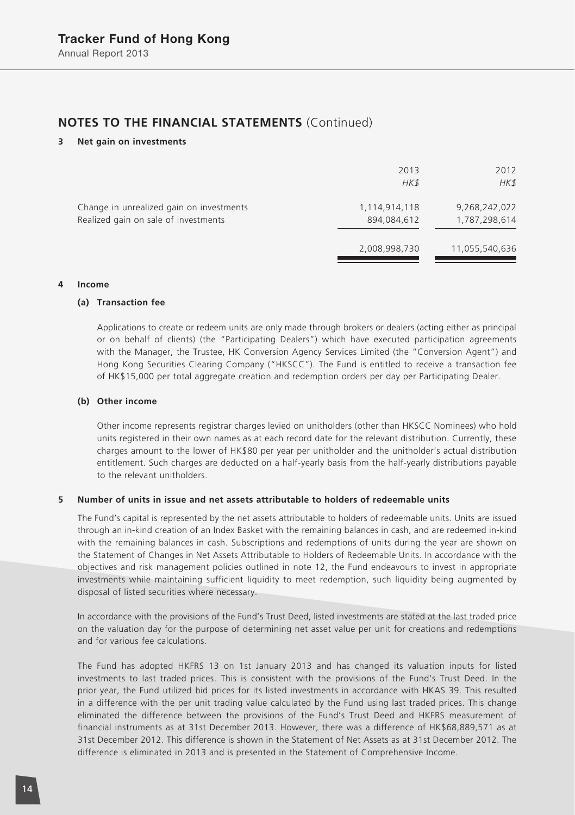#### **3 Net gain on investments**

|                                                                                  | 2013<br>HK\$                 | 2012<br>HK\$                   |
|----------------------------------------------------------------------------------|------------------------------|--------------------------------|
| Change in unrealized gain on investments<br>Realized gain on sale of investments | 1,114,914,118<br>894,084,612 | 9,268,242,022<br>1,787,298,614 |
|                                                                                  | 2,008,998,730                | 11,055,540,636                 |

#### **4 Income**

#### **(a) Transaction fee**

Applications to create or redeem units are only made through brokers or dealers (acting either as principal or on behalf of clients) (the "Participating Dealers") which have executed participation agreements with the Manager, the Trustee, HK Conversion Agency Services Limited (the "Conversion Agent") and Hong Kong Securities Clearing Company ("HKSCC"). The Fund is entitled to receive a transaction fee of HK\$15,000 per total aggregate creation and redemption orders per day per Participating Dealer.

#### **(b) Other income**

Other income represents registrar charges levied on unitholders (other than HKSCC Nominees) who hold units registered in their own names as at each record date for the relevant distribution. Currently, these charges amount to the lower of HK\$80 per year per unitholder and the unitholder's actual distribution entitlement. Such charges are deducted on a half-yearly basis from the half-yearly distributions payable to the relevant unitholders.

#### **5 Number of units in issue and net assets attributable to holders of redeemable units**

The Fund's capital is represented by the net assets attributable to holders of redeemable units. Units are issued through an in-kind creation of an Index Basket with the remaining balances in cash, and are redeemed in-kind with the remaining balances in cash. Subscriptions and redemptions of units during the year are shown on the Statement of Changes in Net Assets Attributable to Holders of Redeemable Units. In accordance with the objectives and risk management policies outlined in note 12, the Fund endeavours to invest in appropriate investments while maintaining sufficient liquidity to meet redemption, such liquidity being augmented by disposal of listed securities where necessary.

In accordance with the provisions of the Fund's Trust Deed, listed investments are stated at the last traded price on the valuation day for the purpose of determining net asset value per unit for creations and redemptions and for various fee calculations.

The Fund has adopted HKFRS 13 on 1st January 2013 and has changed its valuation inputs for listed investments to last traded prices. This is consistent with the provisions of the Fund's Trust Deed. In the prior year, the Fund utilized bid prices for its listed investments in accordance with HKAS 39. This resulted in a difference with the per unit trading value calculated by the Fund using last traded prices. This change eliminated the difference between the provisions of the Fund's Trust Deed and HKFRS measurement of financial instruments as at 31st December 2013. However, there was a difference of HK\$68,889,571 as at 31st December 2012. This difference is shown in the Statement of Net Assets as at 31st December 2012. The difference is eliminated in 2013 and is presented in the Statement of Comprehensive Income.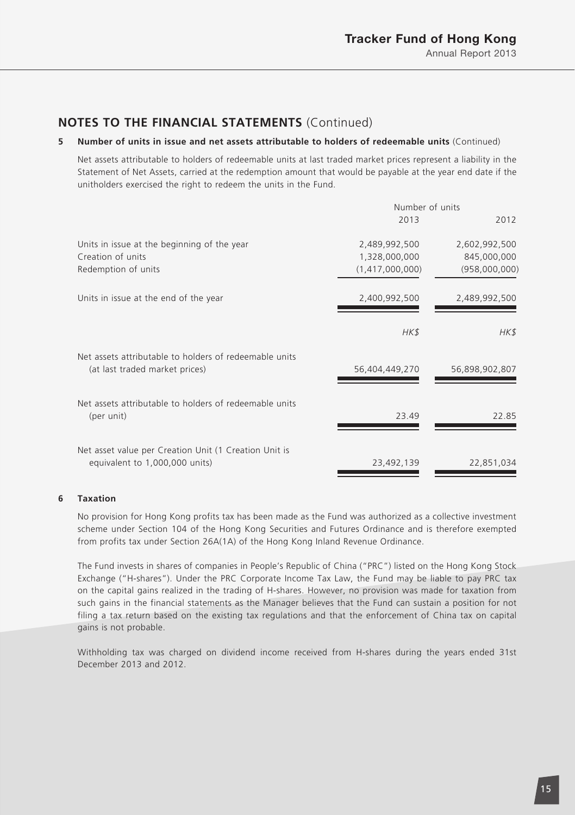#### **5 Number of units in issue and net assets attributable to holders of redeemable units** (Continued)

Net assets attributable to holders of redeemable units at last traded market prices represent a liability in the Statement of Net Assets, carried at the redemption amount that would be payable at the year end date if the unitholders exercised the right to redeem the units in the Fund.

|                                                                                          | Number of units |                |
|------------------------------------------------------------------------------------------|-----------------|----------------|
|                                                                                          | 2013            | 2012           |
| Units in issue at the beginning of the year                                              | 2,489,992,500   | 2,602,992,500  |
| Creation of units                                                                        | 1,328,000,000   | 845,000,000    |
| Redemption of units                                                                      | (1,417,000,000) | (958,000,000)  |
| Units in issue at the end of the year                                                    | 2,400,992,500   | 2,489,992,500  |
|                                                                                          | HK\$            | HK\$           |
| Net assets attributable to holders of redeemable units<br>(at last traded market prices) | 56,404,449,270  | 56,898,902,807 |
| Net assets attributable to holders of redeemable units<br>(per unit)                     | 23.49           | 22.85          |
| Net asset value per Creation Unit (1 Creation Unit is<br>equivalent to 1,000,000 units)  | 23,492,139      | 22,851,034     |

#### **6 Taxation**

No provision for Hong Kong profits tax has been made as the Fund was authorized as a collective investment scheme under Section 104 of the Hong Kong Securities and Futures Ordinance and is therefore exempted from profits tax under Section 26A(1A) of the Hong Kong Inland Revenue Ordinance.

The Fund invests in shares of companies in People's Republic of China ("PRC") listed on the Hong Kong Stock Exchange ("H-shares"). Under the PRC Corporate Income Tax Law, the Fund may be liable to pay PRC tax on the capital gains realized in the trading of H-shares. However, no provision was made for taxation from such gains in the financial statements as the Manager believes that the Fund can sustain a position for not filing a tax return based on the existing tax regulations and that the enforcement of China tax on capital gains is not probable.

Withholding tax was charged on dividend income received from H-shares during the years ended 31st December 2013 and 2012.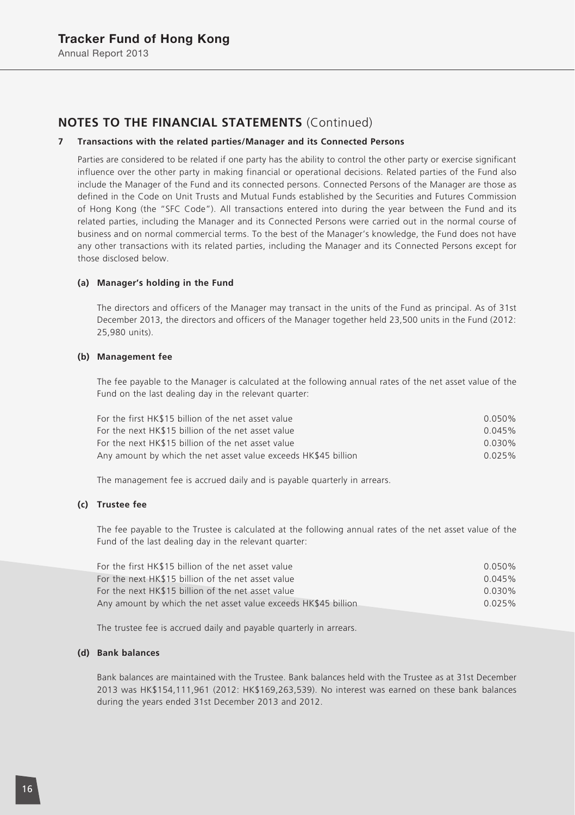#### **7 Transactions with the related parties/Manager and its Connected Persons**

Parties are considered to be related if one party has the ability to control the other party or exercise significant influence over the other party in making financial or operational decisions. Related parties of the Fund also include the Manager of the Fund and its connected persons. Connected Persons of the Manager are those as defined in the Code on Unit Trusts and Mutual Funds established by the Securities and Futures Commission of Hong Kong (the "SFC Code"). All transactions entered into during the year between the Fund and its related parties, including the Manager and its Connected Persons were carried out in the normal course of business and on normal commercial terms. To the best of the Manager's knowledge, the Fund does not have any other transactions with its related parties, including the Manager and its Connected Persons except for those disclosed below.

#### **(a) Manager's holding in the Fund**

The directors and officers of the Manager may transact in the units of the Fund as principal. As of 31st December 2013, the directors and officers of the Manager together held 23,500 units in the Fund (2012: 25,980 units).

#### **(b) Management fee**

The fee payable to the Manager is calculated at the following annual rates of the net asset value of the Fund on the last dealing day in the relevant quarter:

| $0.050\%$ |
|-----------|
| 0.045%    |
| $0.030\%$ |
| 0.025%    |
|           |

The management fee is accrued daily and is payable quarterly in arrears.

#### **(c) Trustee fee**

The fee payable to the Trustee is calculated at the following annual rates of the net asset value of the Fund of the last dealing day in the relevant quarter:

| For the first HK\$15 billion of the net asset value            | $0.050\%$ |
|----------------------------------------------------------------|-----------|
| For the next HK\$15 billion of the net asset value             | 0.045%    |
| For the next HK\$15 billion of the net asset value             | 0.030%    |
| Any amount by which the net asset value exceeds HK\$45 billion | 0.025%    |

The trustee fee is accrued daily and payable quarterly in arrears.

#### **(d) Bank balances**

Bank balances are maintained with the Trustee. Bank balances held with the Trustee as at 31st December 2013 was HK\$154,111,961 (2012: HK\$169,263,539). No interest was earned on these bank balances during the years ended 31st December 2013 and 2012.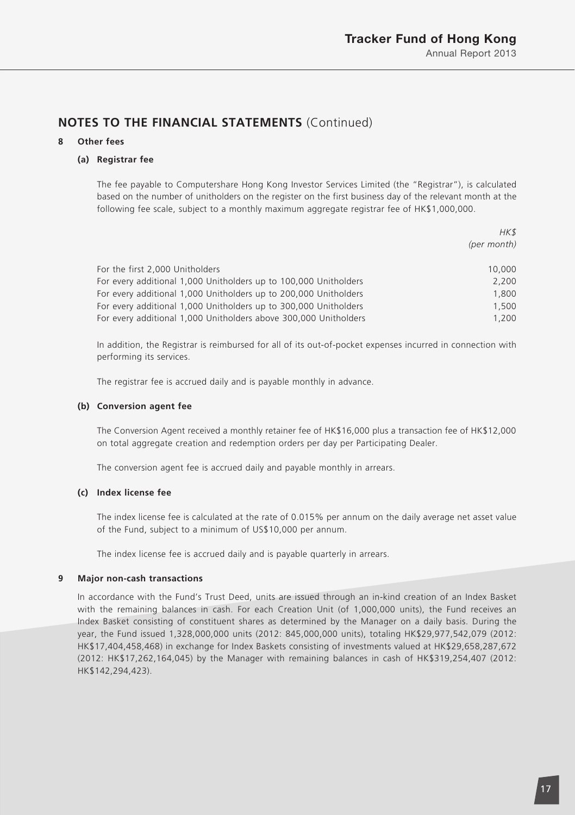#### **8 Other fees**

#### **(a) Registrar fee**

The fee payable to Computershare Hong Kong Investor Services Limited (the "Registrar"), is calculated based on the number of unitholders on the register on the first business day of the relevant month at the following fee scale, subject to a monthly maximum aggregate registrar fee of HK\$1,000,000.

|                                                                  | HK\$        |
|------------------------------------------------------------------|-------------|
|                                                                  | (per month) |
| For the first 2,000 Unitholders                                  | 10,000      |
| For every additional 1,000 Unitholders up to 100,000 Unitholders | 2.200       |
| For every additional 1,000 Unitholders up to 200,000 Unitholders | 1,800       |
| For every additional 1,000 Unitholders up to 300,000 Unitholders | 1,500       |
| For every additional 1,000 Unitholders above 300,000 Unitholders | 1,200       |

In addition, the Registrar is reimbursed for all of its out-of-pocket expenses incurred in connection with performing its services.

The registrar fee is accrued daily and is payable monthly in advance.

#### **(b) Conversion agent fee**

The Conversion Agent received a monthly retainer fee of HK\$16,000 plus a transaction fee of HK\$12,000 on total aggregate creation and redemption orders per day per Participating Dealer.

The conversion agent fee is accrued daily and payable monthly in arrears.

#### **(c) Index license fee**

The index license fee is calculated at the rate of 0.015% per annum on the daily average net asset value of the Fund, subject to a minimum of US\$10,000 per annum.

The index license fee is accrued daily and is payable quarterly in arrears.

#### **9 Major non-cash transactions**

In accordance with the Fund's Trust Deed, units are issued through an in-kind creation of an Index Basket with the remaining balances in cash. For each Creation Unit (of 1,000,000 units), the Fund receives an Index Basket consisting of constituent shares as determined by the Manager on a daily basis. During the year, the Fund issued 1,328,000,000 units (2012: 845,000,000 units), totaling HK\$29,977,542,079 (2012: HK\$17,404,458,468) in exchange for Index Baskets consisting of investments valued at HK\$29,658,287,672 (2012: HK\$17,262,164,045) by the Manager with remaining balances in cash of HK\$319,254,407 (2012: HK\$142,294,423).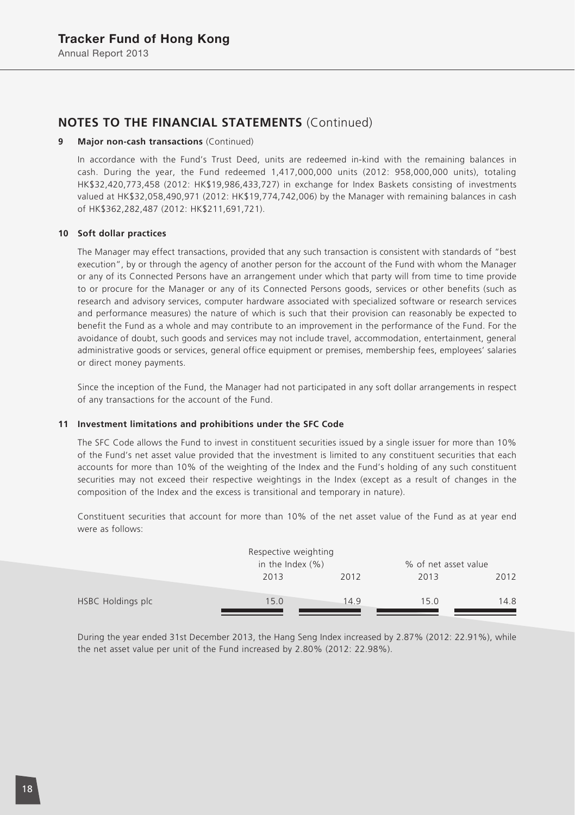#### **9 Major non-cash transactions** (Continued)

In accordance with the Fund's Trust Deed, units are redeemed in-kind with the remaining balances in cash. During the year, the Fund redeemed 1,417,000,000 units (2012: 958,000,000 units), totaling HK\$32,420,773,458 (2012: HK\$19,986,433,727) in exchange for Index Baskets consisting of investments valued at HK\$32,058,490,971 (2012: HK\$19,774,742,006) by the Manager with remaining balances in cash of HK\$362,282,487 (2012: HK\$211,691,721).

#### **10 Soft dollar practices**

The Manager may effect transactions, provided that any such transaction is consistent with standards of "best execution", by or through the agency of another person for the account of the Fund with whom the Manager or any of its Connected Persons have an arrangement under which that party will from time to time provide to or procure for the Manager or any of its Connected Persons goods, services or other benefits (such as research and advisory services, computer hardware associated with specialized software or research services and performance measures) the nature of which is such that their provision can reasonably be expected to benefit the Fund as a whole and may contribute to an improvement in the performance of the Fund. For the avoidance of doubt, such goods and services may not include travel, accommodation, entertainment, general administrative goods or services, general office equipment or premises, membership fees, employees' salaries or direct money payments.

Since the inception of the Fund, the Manager had not participated in any soft dollar arrangements in respect of any transactions for the account of the Fund.

#### **11 Investment limitations and prohibitions under the SFC Code**

The SFC Code allows the Fund to invest in constituent securities issued by a single issuer for more than 10% of the Fund's net asset value provided that the investment is limited to any constituent securities that each accounts for more than 10% of the weighting of the Index and the Fund's holding of any such constituent securities may not exceed their respective weightings in the Index (except as a result of changes in the composition of the Index and the excess is transitional and temporary in nature).

Constituent securities that account for more than 10% of the net asset value of the Fund as at year end were as follows:

|                   | Respective weighting<br>in the Index $(\% )$ |      | % of net asset value |      |
|-------------------|----------------------------------------------|------|----------------------|------|
|                   | 2013                                         | 2012 | 2013                 | 2012 |
| HSBC Holdings plc | 15.0                                         | 14.9 | 15.0                 | 14.8 |

During the year ended 31st December 2013, the Hang Seng Index increased by 2.87% (2012: 22.91%), while the net asset value per unit of the Fund increased by 2.80% (2012: 22.98%).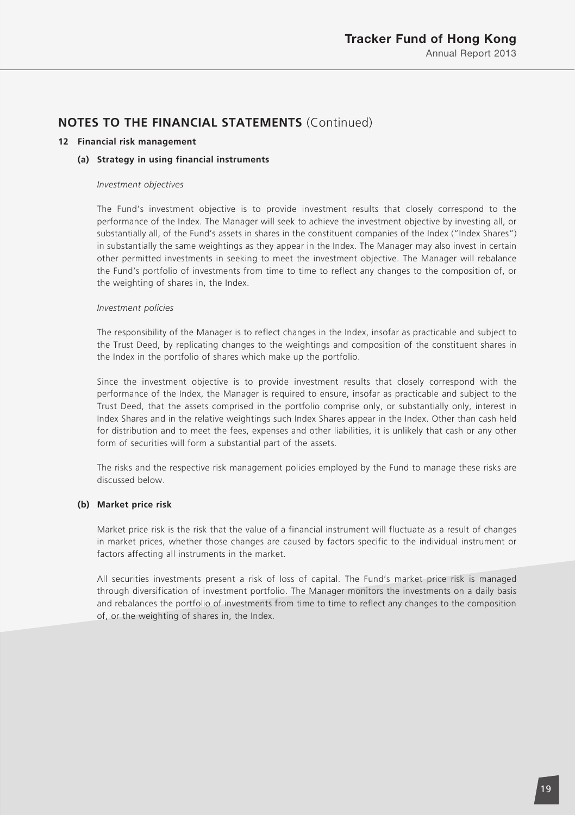#### **12 Financial risk management**

#### **(a) Strategy in using financial instruments**

#### *Investment objectives*

The Fund's investment objective is to provide investment results that closely correspond to the performance of the Index. The Manager will seek to achieve the investment objective by investing all, or substantially all, of the Fund's assets in shares in the constituent companies of the Index ("Index Shares") in substantially the same weightings as they appear in the Index. The Manager may also invest in certain other permitted investments in seeking to meet the investment objective. The Manager will rebalance the Fund's portfolio of investments from time to time to reflect any changes to the composition of, or the weighting of shares in, the Index.

#### *Investment policies*

The responsibility of the Manager is to reflect changes in the Index, insofar as practicable and subject to the Trust Deed, by replicating changes to the weightings and composition of the constituent shares in the Index in the portfolio of shares which make up the portfolio.

Since the investment objective is to provide investment results that closely correspond with the performance of the Index, the Manager is required to ensure, insofar as practicable and subject to the Trust Deed, that the assets comprised in the portfolio comprise only, or substantially only, interest in Index Shares and in the relative weightings such Index Shares appear in the Index. Other than cash held for distribution and to meet the fees, expenses and other liabilities, it is unlikely that cash or any other form of securities will form a substantial part of the assets.

The risks and the respective risk management policies employed by the Fund to manage these risks are discussed below.

#### **(b) Market price risk**

Market price risk is the risk that the value of a financial instrument will fluctuate as a result of changes in market prices, whether those changes are caused by factors specific to the individual instrument or factors affecting all instruments in the market.

All securities investments present a risk of loss of capital. The Fund's market price risk is managed through diversification of investment portfolio. The Manager monitors the investments on a daily basis and rebalances the portfolio of investments from time to time to reflect any changes to the composition of, or the weighting of shares in, the Index.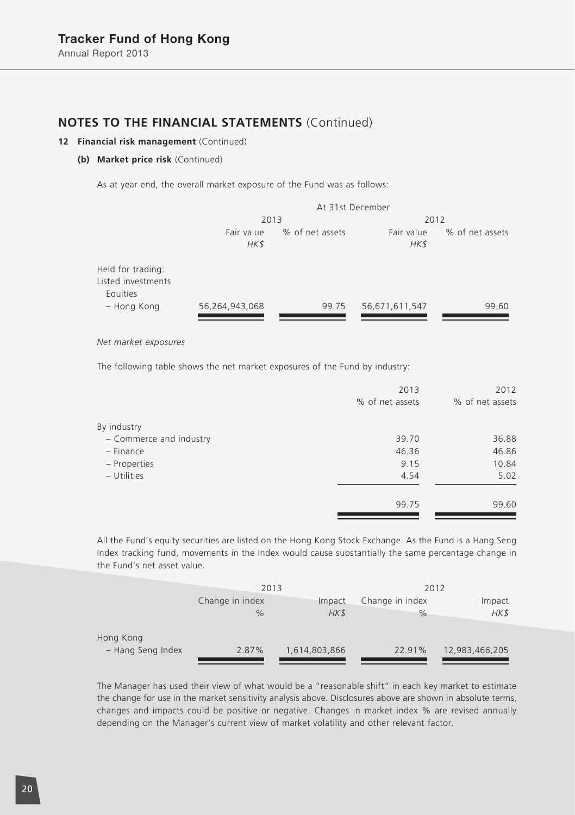#### **12 Financial risk management** (Continued)

#### **(b) Market price risk** (Continued)

As at year end, the overall market exposure of the Fund was as follows:

|                                                     | At 31st December |                 |                |                 |
|-----------------------------------------------------|------------------|-----------------|----------------|-----------------|
|                                                     | 2013             |                 | 2012           |                 |
|                                                     | Fair value       | % of net assets | Fair value     | % of net assets |
|                                                     | HK\$             |                 | HK\$           |                 |
| Held for trading:<br>Listed investments<br>Equities |                  |                 |                |                 |
| - Hong Kong                                         | 56,264,943,068   | 99.75           | 56,671,611,547 | 99.60           |

*Net market exposures*

The following table shows the net market exposures of the Fund by industry:

| 2013            | 2012            |
|-----------------|-----------------|
| % of net assets | % of net assets |
|                 |                 |
| 39.70           | 36.88           |
| 46.36           | 46.86           |
| 9.15            | 10.84           |
| 4.54            | 5.02            |
| 99.75           | 99.60           |
|                 |                 |

All the Fund's equity securities are listed on the Hong Kong Stock Exchange. As the Fund is a Hang Seng Index tracking fund, movements in the Index would cause substantially the same percentage change in the Fund's net asset value.

|                   | 2013            |               | 2012            |                |
|-------------------|-----------------|---------------|-----------------|----------------|
|                   | Change in index | Impact        | Change in index | Impact         |
|                   | $\%$            | HK\$          | $\frac{9}{6}$   | HK\$           |
| Hong Kong         |                 |               |                 |                |
| - Hang Seng Index | 2.87%           | 1,614,803,866 | 22.91%          | 12,983,466,205 |

The Manager has used their view of what would be a "reasonable shift" in each key market to estimate the change for use in the market sensitivity analysis above. Disclosures above are shown in absolute terms, changes and impacts could be positive or negative. Changes in market index % are revised annually depending on the Manager's current view of market volatility and other relevant factor.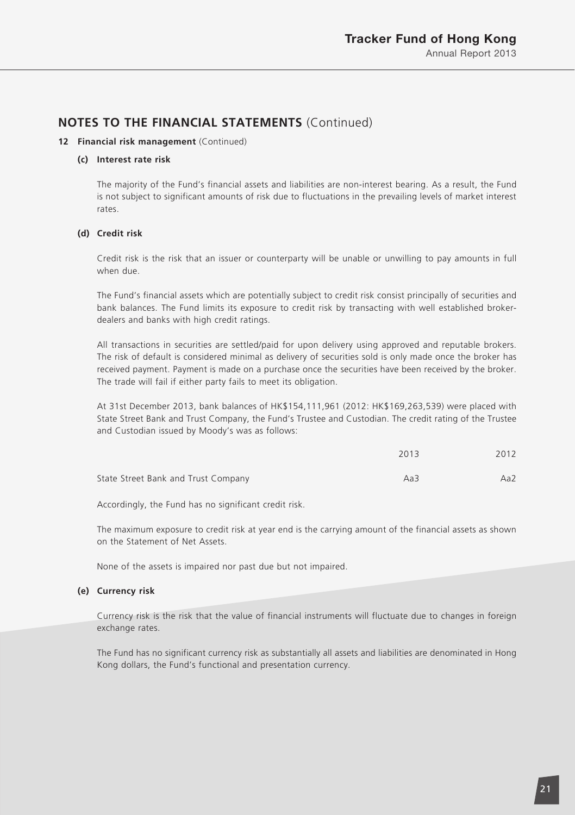#### **12 Financial risk management** (Continued)

#### **(c) Interest rate risk**

The majority of the Fund's financial assets and liabilities are non-interest bearing. As a result, the Fund is not subject to significant amounts of risk due to fluctuations in the prevailing levels of market interest rates.

#### **(d) Credit risk**

Credit risk is the risk that an issuer or counterparty will be unable or unwilling to pay amounts in full when due.

The Fund's financial assets which are potentially subject to credit risk consist principally of securities and bank balances. The Fund limits its exposure to credit risk by transacting with well established brokerdealers and banks with high credit ratings.

All transactions in securities are settled/paid for upon delivery using approved and reputable brokers. The risk of default is considered minimal as delivery of securities sold is only made once the broker has received payment. Payment is made on a purchase once the securities have been received by the broker. The trade will fail if either party fails to meet its obligation.

At 31st December 2013, bank balances of HK\$154,111,961 (2012: HK\$169,263,539) were placed with State Street Bank and Trust Company, the Fund's Trustee and Custodian. The credit rating of the Trustee and Custodian issued by Moody's was as follows:

|                                     | 2013 | 2012 |
|-------------------------------------|------|------|
| State Street Bank and Trust Company | Aa3  | Aa2  |

Accordingly, the Fund has no significant credit risk.

The maximum exposure to credit risk at year end is the carrying amount of the financial assets as shown on the Statement of Net Assets.

None of the assets is impaired nor past due but not impaired.

#### **(e) Currency risk**

Currency risk is the risk that the value of financial instruments will fluctuate due to changes in foreign exchange rates.

The Fund has no significant currency risk as substantially all assets and liabilities are denominated in Hong Kong dollars, the Fund's functional and presentation currency.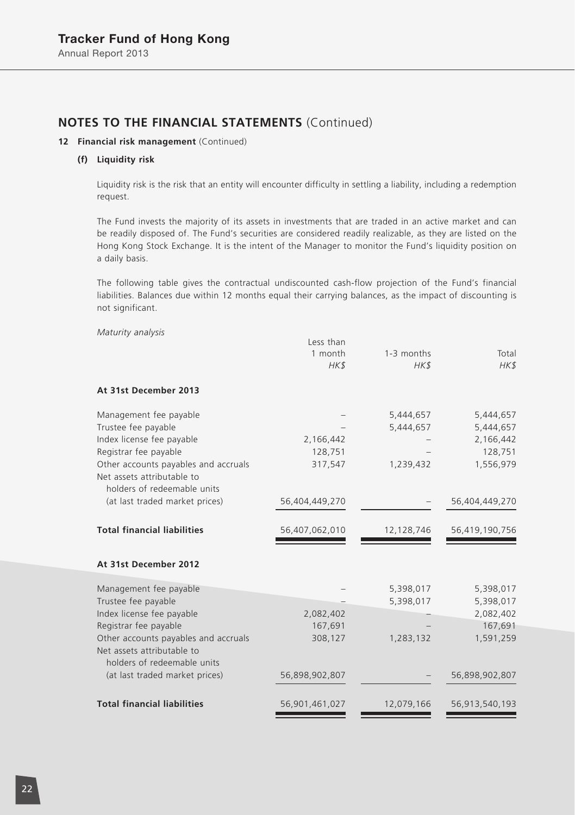#### **12 Financial risk management** (Continued)

#### **(f) Liquidity risk**

Liquidity risk is the risk that an entity will encounter difficulty in settling a liability, including a redemption request.

The Fund invests the majority of its assets in investments that are traded in an active market and can be readily disposed of. The Fund's securities are considered readily realizable, as they are listed on the Hong Kong Stock Exchange. It is the intent of the Manager to monitor the Fund's liquidity position on a daily basis.

The following table gives the contractual undiscounted cash-flow projection of the Fund's financial liabilities. Balances due within 12 months equal their carrying balances, as the impact of discounting is not significant.

| Maturity analysis                                                                                 | Less than<br>1 month<br>HK\$ | 1-3 months<br>HK\$ | Total<br>HK\$  |
|---------------------------------------------------------------------------------------------------|------------------------------|--------------------|----------------|
| At 31st December 2013                                                                             |                              |                    |                |
| Management fee payable                                                                            |                              | 5,444,657          | 5,444,657      |
| Trustee fee payable                                                                               |                              | 5,444,657          | 5,444,657      |
| Index license fee payable                                                                         | 2,166,442                    |                    | 2,166,442      |
| Registrar fee payable                                                                             | 128,751                      |                    | 128,751        |
| Other accounts payables and accruals<br>Net assets attributable to<br>holders of redeemable units | 317,547                      | 1,239,432          | 1,556,979      |
| (at last traded market prices)                                                                    | 56,404,449,270               |                    | 56,404,449,270 |
| <b>Total financial liabilities</b>                                                                | 56,407,062,010               | 12,128,746         | 56,419,190,756 |
| At 31st December 2012                                                                             |                              |                    |                |
| Management fee payable                                                                            |                              | 5,398,017          | 5,398,017      |
| Trustee fee payable                                                                               |                              | 5,398,017          | 5,398,017      |
| Index license fee payable                                                                         | 2,082,402                    |                    | 2,082,402      |
| Registrar fee payable                                                                             | 167,691                      |                    | 167,691        |
| Other accounts payables and accruals<br>Net assets attributable to<br>holders of redeemable units | 308,127                      | 1,283,132          | 1,591,259      |
| (at last traded market prices)                                                                    | 56,898,902,807               |                    | 56,898,902,807 |
| <b>Total financial liabilities</b>                                                                | 56,901,461,027               | 12,079,166         | 56,913,540,193 |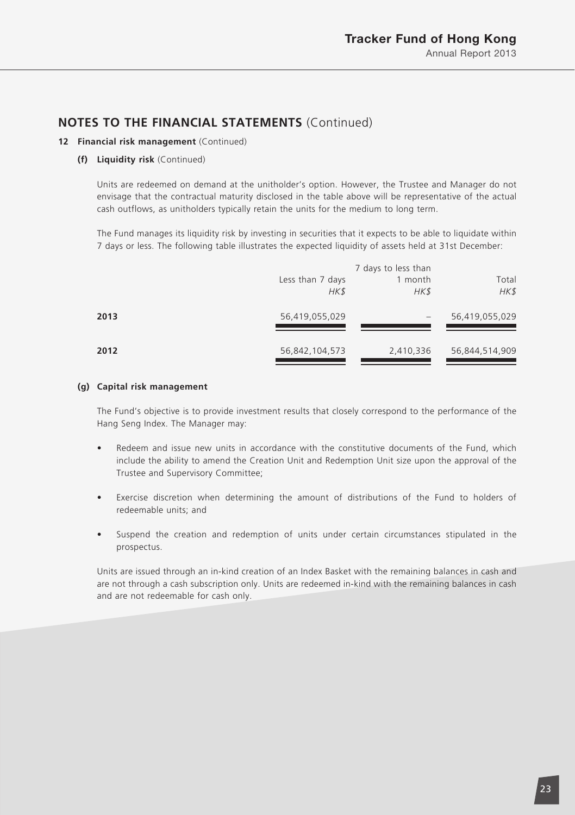#### **12 Financial risk management** (Continued)

#### **(f) Liquidity risk** (Continued)

Units are redeemed on demand at the unitholder's option. However, the Trustee and Manager do not envisage that the contractual maturity disclosed in the table above will be representative of the actual cash outflows, as unitholders typically retain the units for the medium to long term.

The Fund manages its liquidity risk by investing in securities that it expects to be able to liquidate within 7 days or less. The following table illustrates the expected liquidity of assets held at 31st December:

|      | Less than 7 days<br>HK\$ | 7 days to less than<br>1 month<br>HK\$ | Total<br>HK\$  |
|------|--------------------------|----------------------------------------|----------------|
| 2013 | 56,419,055,029           |                                        | 56,419,055,029 |
| 2012 | 56,842,104,573           | 2,410,336                              | 56,844,514,909 |

#### **(g) Capital risk management**

The Fund's objective is to provide investment results that closely correspond to the performance of the Hang Seng Index. The Manager may:

- Redeem and issue new units in accordance with the constitutive documents of the Fund, which include the ability to amend the Creation Unit and Redemption Unit size upon the approval of the Trustee and Supervisory Committee;
- Exercise discretion when determining the amount of distributions of the Fund to holders of redeemable units; and
- Suspend the creation and redemption of units under certain circumstances stipulated in the prospectus.

Units are issued through an in-kind creation of an Index Basket with the remaining balances in cash and are not through a cash subscription only. Units are redeemed in-kind with the remaining balances in cash and are not redeemable for cash only.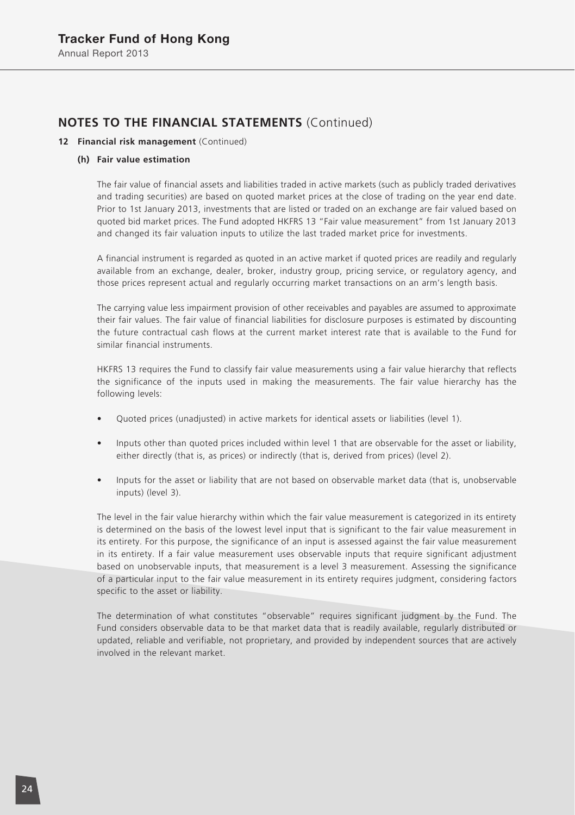#### **12 Financial risk management** (Continued)

#### **(h) Fair value estimation**

The fair value of financial assets and liabilities traded in active markets (such as publicly traded derivatives and trading securities) are based on quoted market prices at the close of trading on the year end date. Prior to 1st January 2013, investments that are listed or traded on an exchange are fair valued based on quoted bid market prices. The Fund adopted HKFRS 13 "Fair value measurement" from 1st January 2013 and changed its fair valuation inputs to utilize the last traded market price for investments.

A financial instrument is regarded as quoted in an active market if quoted prices are readily and regularly available from an exchange, dealer, broker, industry group, pricing service, or regulatory agency, and those prices represent actual and regularly occurring market transactions on an arm's length basis.

The carrying value less impairment provision of other receivables and payables are assumed to approximate their fair values. The fair value of financial liabilities for disclosure purposes is estimated by discounting the future contractual cash flows at the current market interest rate that is available to the Fund for similar financial instruments.

HKFRS 13 requires the Fund to classify fair value measurements using a fair value hierarchy that reflects the significance of the inputs used in making the measurements. The fair value hierarchy has the following levels:

- Quoted prices (unadjusted) in active markets for identical assets or liabilities (level 1).
- Inputs other than quoted prices included within level 1 that are observable for the asset or liability, either directly (that is, as prices) or indirectly (that is, derived from prices) (level 2).
- Inputs for the asset or liability that are not based on observable market data (that is, unobservable inputs) (level 3).

The level in the fair value hierarchy within which the fair value measurement is categorized in its entirety is determined on the basis of the lowest level input that is significant to the fair value measurement in its entirety. For this purpose, the significance of an input is assessed against the fair value measurement in its entirety. If a fair value measurement uses observable inputs that require significant adjustment based on unobservable inputs, that measurement is a level 3 measurement. Assessing the significance of a particular input to the fair value measurement in its entirety requires judgment, considering factors specific to the asset or liability.

The determination of what constitutes "observable" requires significant judgment by the Fund. The Fund considers observable data to be that market data that is readily available, regularly distributed or updated, reliable and verifiable, not proprietary, and provided by independent sources that are actively involved in the relevant market.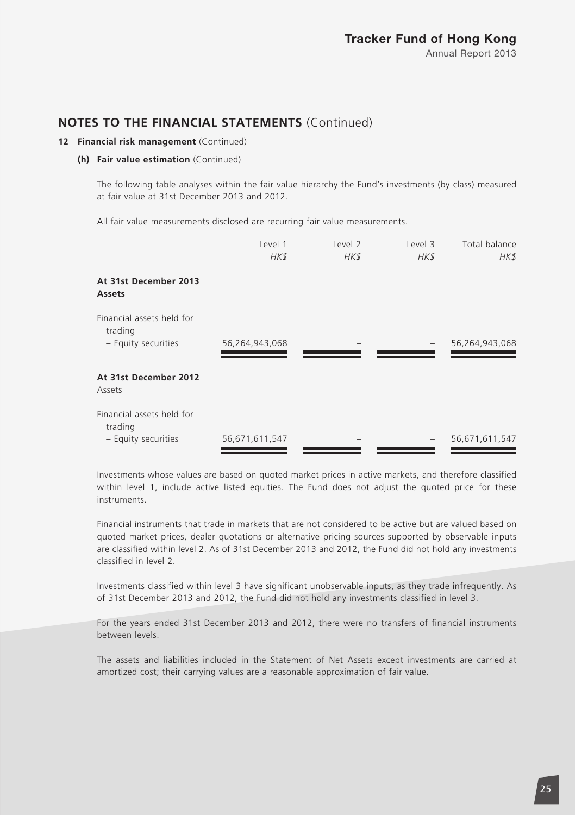#### **12 Financial risk management** (Continued)

#### **(h) Fair value estimation** (Continued)

The following table analyses within the fair value hierarchy the Fund's investments (by class) measured at fair value at 31st December 2013 and 2012.

All fair value measurements disclosed are recurring fair value measurements.

|                                                             | Level 1<br>HK\$ | Level <sub>2</sub><br>HK\$ | Level 3<br>HK\$ | Total balance<br>HK\$ |
|-------------------------------------------------------------|-----------------|----------------------------|-----------------|-----------------------|
| At 31st December 2013<br>Assets                             |                 |                            |                 |                       |
| Financial assets held for<br>trading<br>- Equity securities | 56,264,943,068  |                            |                 | 56,264,943,068        |
| At 31st December 2012<br>Assets                             |                 |                            |                 |                       |
| Financial assets held for<br>trading                        |                 |                            |                 |                       |
| - Equity securities                                         | 56,671,611,547  |                            |                 | 56,671,611,547        |

Investments whose values are based on quoted market prices in active markets, and therefore classified within level 1, include active listed equities. The Fund does not adjust the quoted price for these instruments.

Financial instruments that trade in markets that are not considered to be active but are valued based on quoted market prices, dealer quotations or alternative pricing sources supported by observable inputs are classified within level 2. As of 31st December 2013 and 2012, the Fund did not hold any investments classified in level 2.

Investments classified within level 3 have significant unobservable inputs, as they trade infrequently. As of 31st December 2013 and 2012, the Fund did not hold any investments classified in level 3.

For the years ended 31st December 2013 and 2012, there were no transfers of financial instruments between levels.

The assets and liabilities included in the Statement of Net Assets except investments are carried at amortized cost; their carrying values are a reasonable approximation of fair value.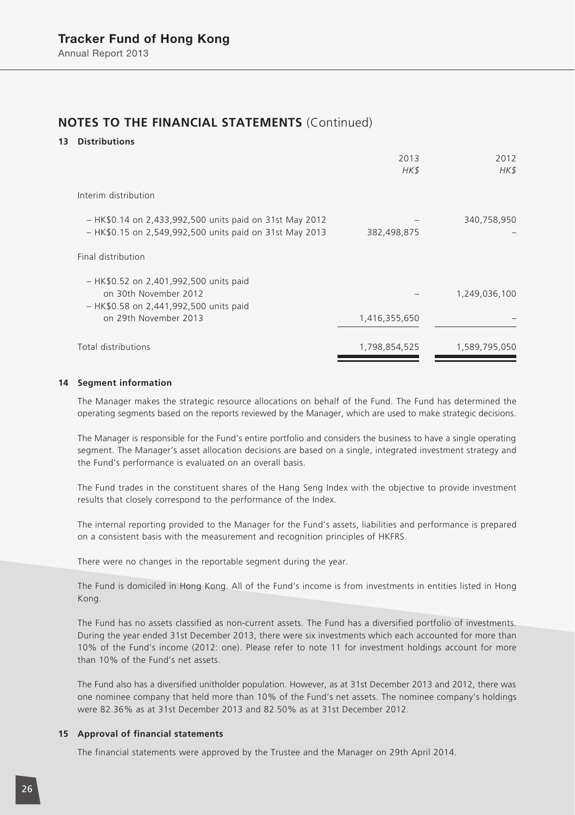#### **13 Distributions**

|                                                                                                                    | 2013<br>HK\$  | 2012<br>HK\$  |
|--------------------------------------------------------------------------------------------------------------------|---------------|---------------|
| Interim distribution                                                                                               |               |               |
| - HK\$0.14 on 2,433,992,500 units paid on 31st May 2012<br>- HK\$0.15 on 2,549,992,500 units paid on 31st May 2013 | 382,498,875   | 340,758,950   |
| Final distribution                                                                                                 |               |               |
| - HK\$0.52 on 2,401,992,500 units paid<br>on 30th November 2012<br>- HK\$0.58 on 2,441,992,500 units paid          |               | 1,249,036,100 |
| on 29th November 2013                                                                                              | 1,416,355,650 |               |
| Total distributions                                                                                                | 1,798,854,525 | 1,589,795,050 |

#### **14 Segment information**

The Manager makes the strategic resource allocations on behalf of the Fund. The Fund has determined the operating segments based on the reports reviewed by the Manager, which are used to make strategic decisions.

The Manager is responsible for the Fund's entire portfolio and considers the business to have a single operating segment. The Manager's asset allocation decisions are based on a single, integrated investment strategy and the Fund's performance is evaluated on an overall basis.

The Fund trades in the constituent shares of the Hang Seng Index with the objective to provide investment results that closely correspond to the performance of the Index.

The internal reporting provided to the Manager for the Fund's assets, liabilities and performance is prepared on a consistent basis with the measurement and recognition principles of HKFRS.

There were no changes in the reportable segment during the year.

The Fund is domiciled in Hong Kong. All of the Fund's income is from investments in entities listed in Hong Kong.

The Fund has no assets classified as non-current assets. The Fund has a diversified portfolio of investments. During the year ended 31st December 2013, there were six investments which each accounted for more than 10% of the Fund's income (2012: one). Please refer to note 11 for investment holdings account for more than 10% of the Fund's net assets.

The Fund also has a diversified unitholder population. However, as at 31st December 2013 and 2012, there was one nominee company that held more than 10% of the Fund's net assets. The nominee company's holdings were 82.36% as at 31st December 2013 and 82.50% as at 31st December 2012.

#### **15 Approval of financial statements**

The financial statements were approved by the Trustee and the Manager on 29th April 2014.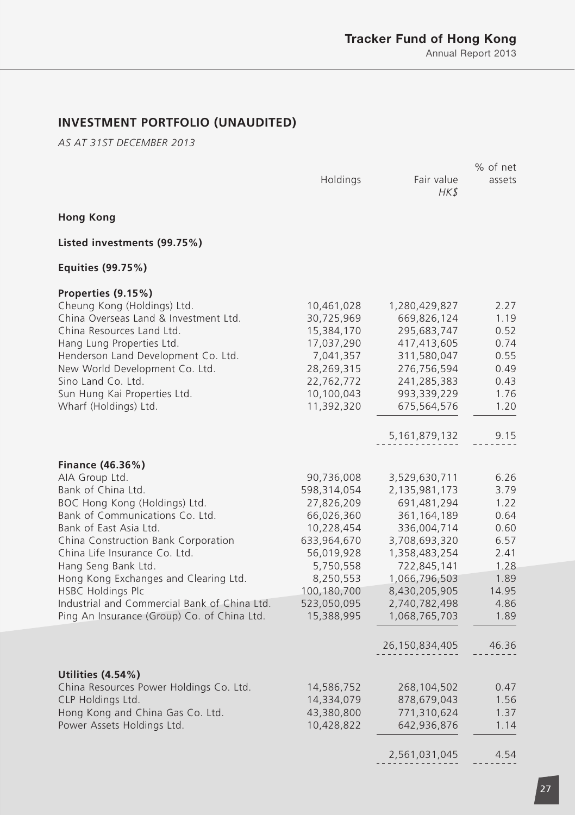# **INVESTMENT PORTFOLIO (UNAUDITED)**

*AS AT 31ST DECEMBER 2013*

|                                                                                             |                          |                                | % of net     |
|---------------------------------------------------------------------------------------------|--------------------------|--------------------------------|--------------|
|                                                                                             | Holdings                 | Fair value<br>HK\$             | assets       |
| <b>Hong Kong</b>                                                                            |                          |                                |              |
| Listed investments (99.75%)                                                                 |                          |                                |              |
| Equities (99.75%)                                                                           |                          |                                |              |
| Properties (9.15%)                                                                          |                          |                                |              |
| Cheung Kong (Holdings) Ltd.                                                                 | 10,461,028               | 1,280,429,827                  | 2.27         |
| China Overseas Land & Investment Ltd.                                                       | 30,725,969               | 669,826,124                    | 1.19         |
| China Resources Land Ltd.<br>Hang Lung Properties Ltd.                                      | 15,384,170<br>17,037,290 | 295,683,747<br>417,413,605     | 0.52<br>0.74 |
| Henderson Land Development Co. Ltd.                                                         | 7,041,357                | 311,580,047                    | 0.55         |
| New World Development Co. Ltd.                                                              | 28,269,315               | 276,756,594                    | 0.49         |
| Sino Land Co. Ltd.                                                                          | 22,762,772               | 241,285,383                    | 0.43         |
| Sun Hung Kai Properties Ltd.                                                                | 10,100,043               | 993,339,229                    | 1.76         |
| Wharf (Holdings) Ltd.                                                                       | 11,392,320               | 675,564,576                    | 1.20         |
|                                                                                             |                          | 5,161,879,132                  | 9.15         |
|                                                                                             |                          |                                |              |
| Finance (46.36%)                                                                            |                          |                                |              |
| AIA Group Ltd.                                                                              | 90,736,008               | 3,529,630,711                  | 6.26         |
| Bank of China Ltd.                                                                          | 598,314,054              | 2,135,981,173                  | 3.79         |
| BOC Hong Kong (Holdings) Ltd.                                                               | 27,826,209               | 691,481,294                    | 1.22         |
| Bank of Communications Co. Ltd.                                                             | 66,026,360               | 361,164,189                    | 0.64         |
| Bank of East Asia Ltd.                                                                      | 10,228,454               | 336,004,714                    | 0.60         |
| China Construction Bank Corporation                                                         | 633,964,670              | 3,708,693,320                  | 6.57         |
| China Life Insurance Co. Ltd.                                                               | 56,019,928               | 1,358,483,254                  | 2.41         |
| Hang Seng Bank Ltd.                                                                         | 5,750,558                | 722,845,141                    | 1.28         |
| Hong Kong Exchanges and Clearing Ltd.                                                       | 8,250,553                | 1,066,796,503                  | 1.89         |
| <b>HSBC Holdings Plc</b>                                                                    | 100,180,700              | 8,430,205,905                  | 14.95        |
| Industrial and Commercial Bank of China Ltd.<br>Ping An Insurance (Group) Co. of China Ltd. | 523,050,095              | 2,740,782,498<br>1,068,765,703 | 4.86<br>1.89 |
|                                                                                             | 15,388,995               |                                |              |
|                                                                                             |                          | 26,150,834,405                 | 46.36        |
|                                                                                             |                          |                                |              |
| Utilities (4.54%)                                                                           |                          |                                |              |
| China Resources Power Holdings Co. Ltd.                                                     | 14,586,752               | 268,104,502                    | 0.47         |
| CLP Holdings Ltd.<br>Hong Kong and China Gas Co. Ltd.                                       | 14,334,079<br>43,380,800 | 878,679,043<br>771,310,624     | 1.56<br>1.37 |
| Power Assets Holdings Ltd.                                                                  | 10,428,822               | 642,936,876                    | 1.14         |
|                                                                                             |                          |                                |              |
|                                                                                             |                          | 2,561,031,045                  | 4.54         |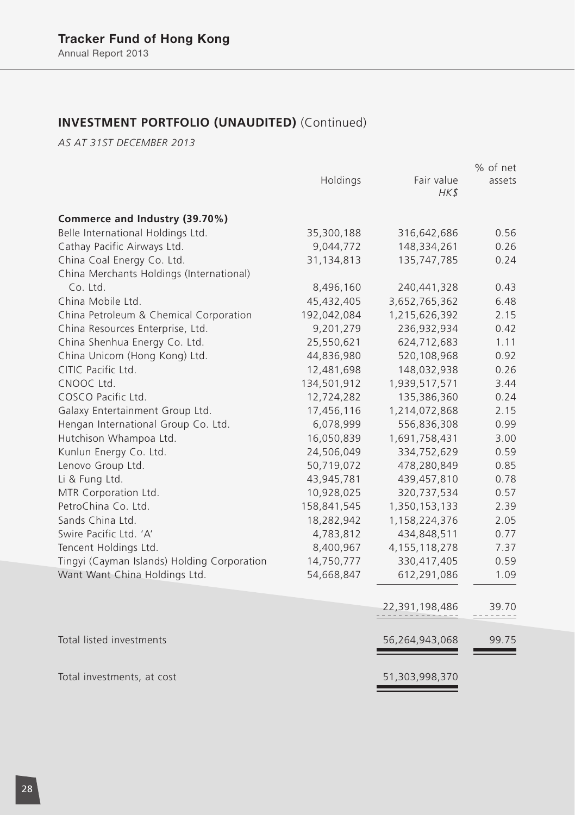# **INVESTMENT PORTFOLIO (UNAUDITED)** (Continued)

*AS AT 31ST DECEMBER 2013*

|                                             |             |                              | % of net        |
|---------------------------------------------|-------------|------------------------------|-----------------|
|                                             | Holdings    | Fair value<br>HK\$           | assets          |
| Commerce and Industry (39.70%)              |             |                              |                 |
| Belle International Holdings Ltd.           | 35,300,188  | 316,642,686                  | 0.56            |
| Cathay Pacific Airways Ltd.                 | 9,044,772   | 148,334,261                  | 0.26            |
| China Coal Energy Co. Ltd.                  | 31,134,813  | 135,747,785                  | 0.24            |
| China Merchants Holdings (International)    |             |                              |                 |
| Co. Ltd.                                    | 8,496,160   | 240,441,328                  | 0.43            |
| China Mobile Ltd.                           | 45,432,405  | 3,652,765,362                | 6.48            |
| China Petroleum & Chemical Corporation      | 192,042,084 | 1,215,626,392                | 2.15            |
| China Resources Enterprise, Ltd.            | 9,201,279   | 236,932,934                  | 0.42            |
| China Shenhua Energy Co. Ltd.               | 25,550,621  | 624,712,683                  | 1.11            |
| China Unicom (Hong Kong) Ltd.               | 44,836,980  | 520,108,968                  | 0.92            |
| CITIC Pacific Ltd.                          | 12,481,698  | 148,032,938                  | 0.26            |
| CNOOC Ltd.                                  | 134,501,912 | 1,939,517,571                | 3.44            |
| COSCO Pacific Ltd.                          | 12,724,282  | 135,386,360                  | 0.24            |
| Galaxy Entertainment Group Ltd.             | 17,456,116  | 1,214,072,868                | 2.15            |
| Hengan International Group Co. Ltd.         | 6,078,999   | 556,836,308                  | 0.99            |
| Hutchison Whampoa Ltd.                      | 16,050,839  | 1,691,758,431                | 3.00            |
| Kunlun Energy Co. Ltd.                      | 24,506,049  | 334,752,629                  | 0.59            |
| Lenovo Group Ltd.                           | 50,719,072  | 478,280,849                  | 0.85            |
| Li & Fung Ltd.                              | 43,945,781  | 439,457,810                  | 0.78            |
| MTR Corporation Ltd.                        | 10,928,025  | 320,737,534                  | 0.57            |
| PetroChina Co. Ltd.                         | 158,841,545 | 1,350,153,133                | 2.39            |
| Sands China Ltd.                            | 18,282,942  | 1,158,224,376                | 2.05            |
| Swire Pacific Ltd. 'A'                      | 4,783,812   | 434,848,511                  | 0.77            |
| Tencent Holdings Ltd.                       | 8,400,967   | 4, 155, 118, 278             | 7.37            |
| Tingyi (Cayman Islands) Holding Corporation | 14,750,777  | 330,417,405                  | 0.59            |
| Want Want China Holdings Ltd.               | 54,668,847  | 612,291,086                  | 1.09            |
|                                             |             | 22,391,198,486<br>. <u>.</u> | 39.70<br>------ |
| Total listed investments                    |             | 56,264,943,068               | 99.75           |
|                                             |             |                              |                 |
| Total investments, at cost                  |             | 51,303,998,370               |                 |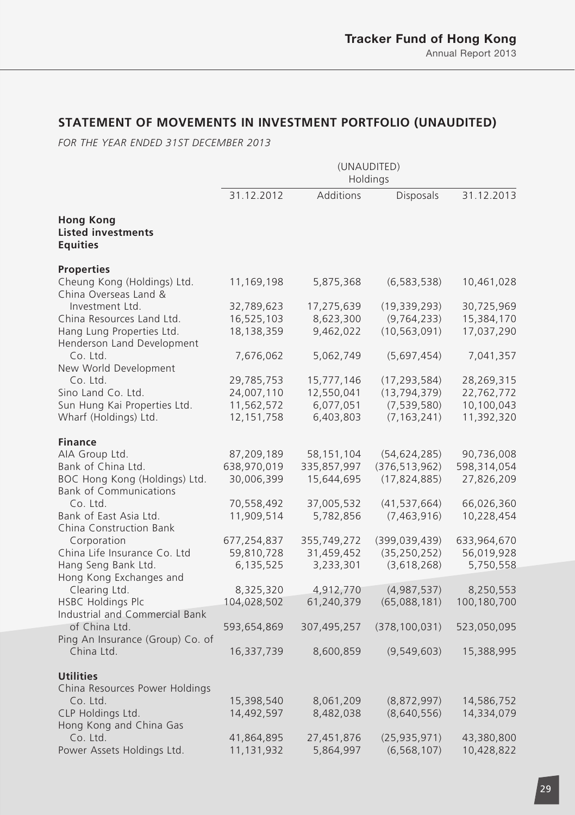# **STATEMENT OF MOVEMENTS IN INVESTMENT PORTFOLIO (UNAUDITED)**

*FOR THE YEAR ENDED 31ST DECEMBER 2013*

|                                                                                                 | (UNAUDITED)<br>Holdings                                |                                                    |                                                                    |                                                      |
|-------------------------------------------------------------------------------------------------|--------------------------------------------------------|----------------------------------------------------|--------------------------------------------------------------------|------------------------------------------------------|
|                                                                                                 | 31.12.2012                                             | Additions                                          | <b>Disposals</b>                                                   | 31.12.2013                                           |
| <b>Hong Kong</b><br><b>Listed investments</b><br><b>Equities</b>                                |                                                        |                                                    |                                                                    |                                                      |
| <b>Properties</b><br>Cheung Kong (Holdings) Ltd.<br>China Overseas Land &                       | 11,169,198                                             | 5,875,368                                          | (6, 583, 538)                                                      | 10,461,028                                           |
| Investment Ltd.<br>China Resources Land Ltd.<br>Hang Lung Properties Ltd.                       | 32,789,623<br>16,525,103<br>18,138,359                 | 17,275,639<br>8,623,300<br>9,462,022               | (19, 339, 293)<br>(9, 764, 233)<br>(10, 563, 091)                  | 30,725,969<br>15,384,170<br>17,037,290               |
| Henderson Land Development<br>Co. Ltd.<br>New World Development                                 | 7,676,062                                              | 5,062,749                                          | (5,697,454)                                                        | 7,041,357                                            |
| Co. Ltd.<br>Sino Land Co. Ltd.<br>Sun Hung Kai Properties Ltd.<br>Wharf (Holdings) Ltd.         | 29,785,753<br>24,007,110<br>11,562,572<br>12, 151, 758 | 15,777,146<br>12,550,041<br>6,077,051<br>6,403,803 | (17, 293, 584)<br>(13, 794, 379)<br>(7, 539, 580)<br>(7, 163, 241) | 28,269,315<br>22,762,772<br>10,100,043<br>11,392,320 |
| <b>Finance</b>                                                                                  |                                                        |                                                    |                                                                    |                                                      |
| AIA Group Ltd.<br>Bank of China Ltd.<br>BOC Hong Kong (Holdings) Ltd.                           | 87,209,189<br>638,970,019<br>30,006,399                | 58,151,104<br>335,857,997<br>15,644,695            | (54, 624, 285)<br>(376, 513, 962)<br>(17, 824, 885)                | 90,736,008<br>598,314,054<br>27,826,209              |
| <b>Bank of Communications</b><br>Co. Ltd.<br>Bank of East Asia Ltd.<br>China Construction Bank  | 70,558,492<br>11,909,514                               | 37,005,532<br>5,782,856                            | (41, 537, 664)<br>(7,463,916)                                      | 66,026,360<br>10,228,454                             |
| Corporation<br>China Life Insurance Co. Ltd<br>Hang Seng Bank Ltd.                              | 677,254,837<br>59,810,728<br>6,135,525                 | 355,749,272<br>31,459,452<br>3,233,301             | (399, 039, 439)<br>(35, 250, 252)<br>(3,618,268)                   | 633,964,670<br>56,019,928<br>5,750,558               |
| Hong Kong Exchanges and<br>Clearing Ltd.<br>HSBC Holdings Plc<br>Industrial and Commercial Bank | 8,325,320<br>104,028,502                               | 4,912,770<br>61,240,379                            | (4,987,537)<br>(65,088,181)                                        | 8,250,553<br>100,180,700                             |
| of China Ltd.                                                                                   | 593,654,869                                            | 307,495,257                                        | (378, 100, 031)                                                    | 523,050,095                                          |
| Ping An Insurance (Group) Co. of<br>China Ltd.                                                  | 16,337,739                                             | 8,600,859                                          | (9,549,603)                                                        | 15,388,995                                           |
| <b>Utilities</b>                                                                                |                                                        |                                                    |                                                                    |                                                      |
| China Resources Power Holdings<br>Co. Ltd.                                                      | 15,398,540                                             | 8,061,209                                          | (8,872,997)                                                        | 14,586,752                                           |
| CLP Holdings Ltd.<br>Hong Kong and China Gas                                                    | 14,492,597                                             | 8,482,038                                          | (8,640,556)                                                        | 14,334,079                                           |
| Co. Ltd.<br>Power Assets Holdings Ltd.                                                          | 41,864,895<br>11,131,932                               | 27,451,876<br>5,864,997                            | (25,935,971)<br>(6, 568, 107)                                      | 43,380,800<br>10,428,822                             |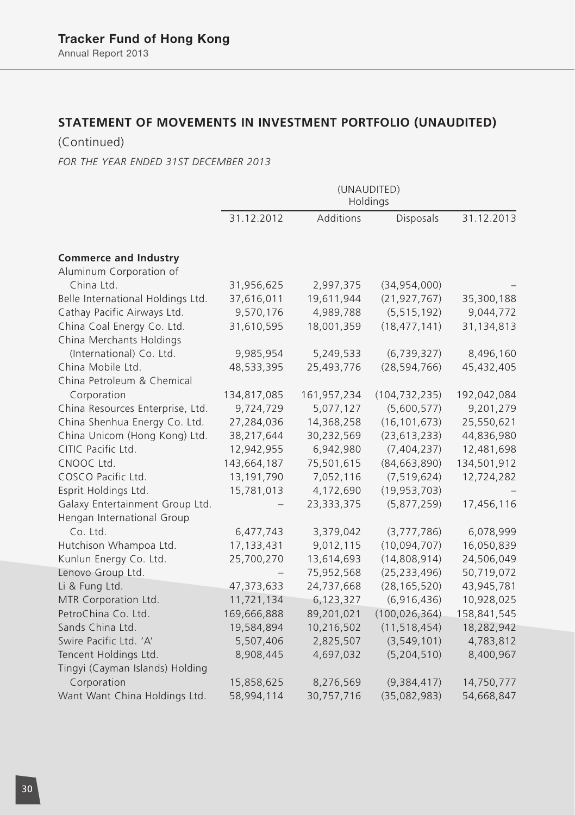# **STATEMENT OF MOVEMENTS IN INVESTMENT PORTFOLIO (UNAUDITED)**

(Continued)

*FOR THE YEAR ENDED 31ST DECEMBER 2013*

|                                   | (UNAUDITED)<br>Holdings |             |                 |             |
|-----------------------------------|-------------------------|-------------|-----------------|-------------|
|                                   | 31.12.2012              | Additions   | Disposals       | 31.12.2013  |
| <b>Commerce and Industry</b>      |                         |             |                 |             |
| Aluminum Corporation of           |                         |             |                 |             |
| China Ltd.                        | 31,956,625              | 2,997,375   | (34,954,000)    |             |
| Belle International Holdings Ltd. | 37,616,011              | 19,611,944  | (21, 927, 767)  | 35,300,188  |
| Cathay Pacific Airways Ltd.       | 9,570,176               | 4,989,788   | (5, 515, 192)   | 9,044,772   |
| China Coal Energy Co. Ltd.        | 31,610,595              | 18,001,359  | (18, 477, 141)  | 31,134,813  |
| China Merchants Holdings          |                         |             |                 |             |
| (International) Co. Ltd.          | 9,985,954               | 5,249,533   | (6, 739, 327)   | 8,496,160   |
| China Mobile Ltd.                 | 48,533,395              | 25,493,776  | (28, 594, 766)  | 45,432,405  |
| China Petroleum & Chemical        |                         |             |                 |             |
| Corporation                       | 134,817,085             | 161,957,234 | (104, 732, 235) | 192,042,084 |
| China Resources Enterprise, Ltd.  | 9,724,729               | 5,077,127   | (5,600,577)     | 9,201,279   |
| China Shenhua Energy Co. Ltd.     | 27,284,036              | 14,368,258  | (16, 101, 673)  | 25,550,621  |
| China Unicom (Hong Kong) Ltd.     | 38,217,644              | 30,232,569  | (23, 613, 233)  | 44,836,980  |
| CITIC Pacific Ltd.                | 12,942,955              | 6,942,980   | (7,404,237)     | 12,481,698  |
| CNOOC Ltd.                        | 143,664,187             | 75,501,615  | (84, 663, 890)  | 134,501,912 |
| COSCO Pacific Ltd.                | 13,191,790              | 7,052,116   | (7, 519, 624)   | 12,724,282  |
| Esprit Holdings Ltd.              | 15,781,013              | 4,172,690   | (19, 953, 703)  |             |
| Galaxy Entertainment Group Ltd.   |                         | 23,333,375  | (5,877,259)     | 17,456,116  |
| Hengan International Group        |                         |             |                 |             |
| Co. Ltd.                          | 6,477,743               | 3,379,042   | (3,777,786)     | 6,078,999   |
| Hutchison Whampoa Ltd.            | 17, 133, 431            | 9,012,115   | (10,094,707)    | 16,050,839  |
| Kunlun Energy Co. Ltd.            | 25,700,270              | 13,614,693  | (14,808,914)    | 24,506,049  |
| Lenovo Group Ltd.                 |                         | 75,952,568  | (25, 233, 496)  | 50,719,072  |
| Li & Fung Ltd.                    | 47,373,633              | 24,737,668  | (28, 165, 520)  | 43,945,781  |
| MTR Corporation Ltd.              | 11,721,134              | 6,123,327   | (6,916,436)     | 10,928,025  |
| PetroChina Co. Ltd.               | 169,666,888             | 89,201,021  | (100, 026, 364) | 158,841,545 |
| Sands China Ltd.                  | 19,584,894              | 10,216,502  | (11, 518, 454)  | 18,282,942  |
| Swire Pacific Ltd. 'A'            | 5,507,406               | 2,825,507   | (3, 549, 101)   | 4,783,812   |
| Tencent Holdings Ltd.             | 8,908,445               | 4,697,032   | (5, 204, 510)   | 8,400,967   |
| Tingyi (Cayman Islands) Holding   |                         |             |                 |             |
| Corporation                       | 15,858,625              | 8,276,569   | (9, 384, 417)   | 14,750,777  |
| Want Want China Holdings Ltd.     | 58,994,114              | 30,757,716  | (35,082,983)    | 54,668,847  |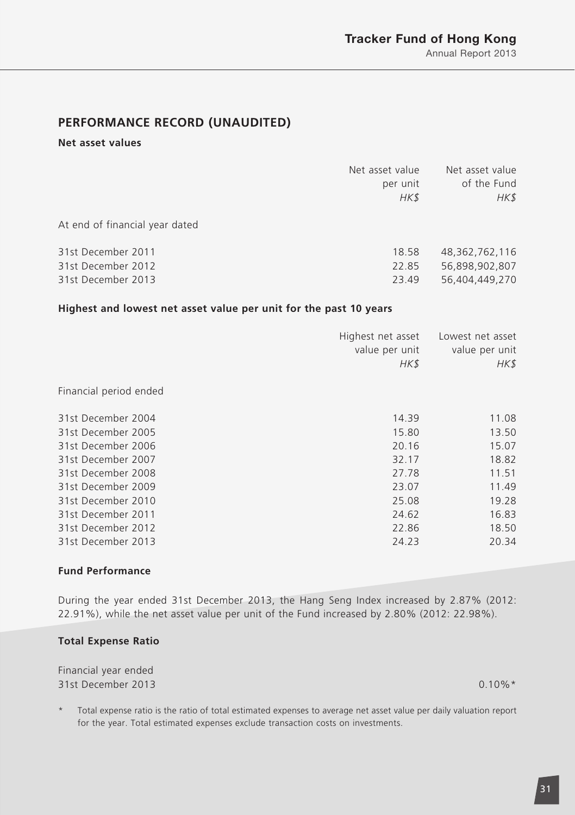# **PERFORMANCE RECORD (UNAUDITED)**

### **Net asset values**

|                                                                | Net asset value<br>per unit<br>HK\$ | Net asset value<br>of the Fund<br>HK\$             |
|----------------------------------------------------------------|-------------------------------------|----------------------------------------------------|
| At end of financial year dated                                 |                                     |                                                    |
| 31st December 2011<br>31st December 2012<br>31st December 2013 | 18.58<br>22.85<br>23.49             | 48,362,762,116<br>56,898,902,807<br>56.404.449.270 |

### **Highest and lowest net asset value per unit for the past 10 years**

|                        | Highest net asset<br>value per unit<br>HK\$ | Lowest net asset<br>value per unit<br>HK\$ |
|------------------------|---------------------------------------------|--------------------------------------------|
| Financial period ended |                                             |                                            |
| 31st December 2004     | 14.39                                       | 11.08                                      |
| 31st December 2005     | 15.80                                       | 13.50                                      |
| 31st December 2006     | 20.16                                       | 15.07                                      |
| 31st December 2007     | 32.17                                       | 18.82                                      |
| 31st December 2008     | 27.78                                       | 11.51                                      |
| 31st December 2009     | 23.07                                       | 11.49                                      |
| 31st December 2010     | 25.08                                       | 19.28                                      |
| 31st December 2011     | 24.62                                       | 16.83                                      |
| 31st December 2012     | 22.86                                       | 18.50                                      |
| 31st December 2013     | 24.23                                       | 20.34                                      |
|                        |                                             |                                            |

### **Fund Performance**

During the year ended 31st December 2013, the Hang Seng Index increased by 2.87% (2012: 22.91%), while the net asset value per unit of the Fund increased by 2.80% (2012: 22.98%).

#### **Total Expense Ratio**

Financial year ended 31st December 2013 0.10%\*

Total expense ratio is the ratio of total estimated expenses to average net asset value per daily valuation report for the year. Total estimated expenses exclude transaction costs on investments.